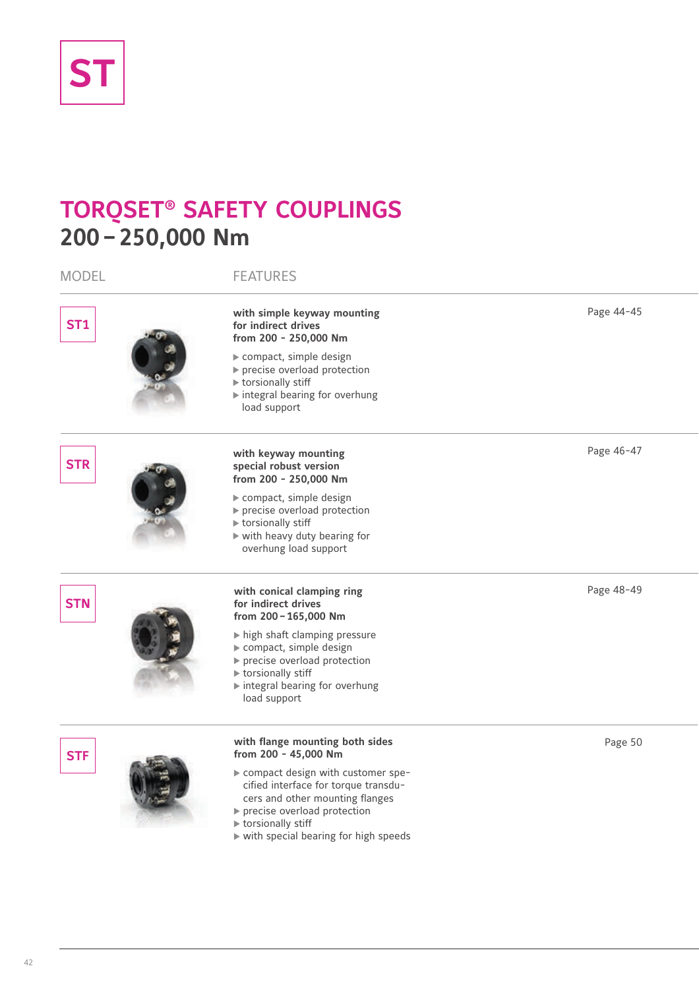

# **TORQSET® SAFETY COUPLINGS 200–250,000 Nm**

| <b>MODEL</b> | <b>FEATURES</b>                                                                                                                                                                                          |            |
|--------------|----------------------------------------------------------------------------------------------------------------------------------------------------------------------------------------------------------|------------|
| <b>ST1</b>   | with simple keyway mounting<br>for indirect drives<br>from 200 - 250,000 Nm<br>compact, simple design<br>▶ precise overload protection                                                                   | Page 44-45 |
|              | $\blacktriangleright$ torsionally stiff<br>Integral bearing for overhung<br>load support                                                                                                                 |            |
| <b>STR</b>   | with keyway mounting<br>special robust version<br>from 200 - 250,000 Nm                                                                                                                                  | Page 46-47 |
|              | compact, simple design<br>precise overload protection<br>$\triangleright$ torsionally stiff<br>$\triangleright$ with heavy duty bearing for<br>overhung load support                                     |            |
| <b>STN</b>   | with conical clamping ring<br>for indirect drives<br>from 200-165,000 Nm                                                                                                                                 | Page 48-49 |
|              | high shaft clamping pressure<br>compact, simple design<br>precise overload protection<br>torsionally stiff<br>▶ integral bearing for overhung<br>load support                                            |            |
| <b>STF</b>   | with flange mounting both sides<br>from 200 - 45,000 Nm                                                                                                                                                  | Page 50    |
|              | compact design with customer spe-<br>cified interface for torque transdu-<br>cers and other mounting flanges<br>precise overload protection<br>torsionally stiff<br>with special bearing for high speeds |            |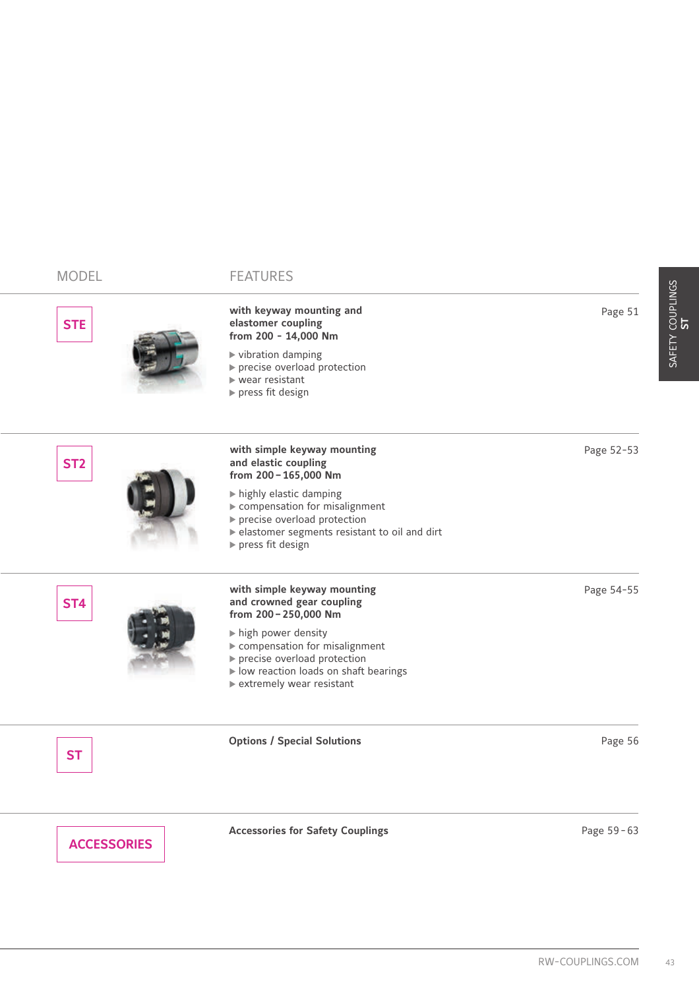| <b>MODEL</b>       | <b>FEATURES</b>                                                                                                                                                                          |                  |
|--------------------|------------------------------------------------------------------------------------------------------------------------------------------------------------------------------------------|------------------|
| <b>STE</b>         | with keyway mounting and<br>elastomer coupling<br>from 200 - 14,000 Nm<br>▶ vibration damping<br>precise overload protection<br>$\blacktriangleright$ wear resistant<br>press fit design | Page 51          |
| ST <sub>2</sub>    | with simple keyway mounting<br>and elastic coupling<br>from 200 - 165,000 Nm                                                                                                             | Page 52-53       |
|                    | highly elastic damping<br>compensation for misalignment<br>precise overload protection<br>▶ elastomer segments resistant to oil and dirt<br>$\rightharpoonup$ press fit design           |                  |
| <b>ST4</b>         | with simple keyway mounting<br>and crowned gear coupling<br>from 200-250,000 Nm                                                                                                          | Page 54-55       |
|                    | high power density<br>compensation for misalignment<br>precise overload protection<br>I low reaction loads on shaft bearings<br>▶ extremely wear resistant                               |                  |
| <b>ST</b>          | <b>Options / Special Solutions</b>                                                                                                                                                       | Page 56          |
| <b>ACCESSORIES</b> | <b>Accessories for Safety Couplings</b>                                                                                                                                                  | Page 59-63       |
|                    |                                                                                                                                                                                          |                  |
|                    |                                                                                                                                                                                          | RW-COUPLINGS.COM |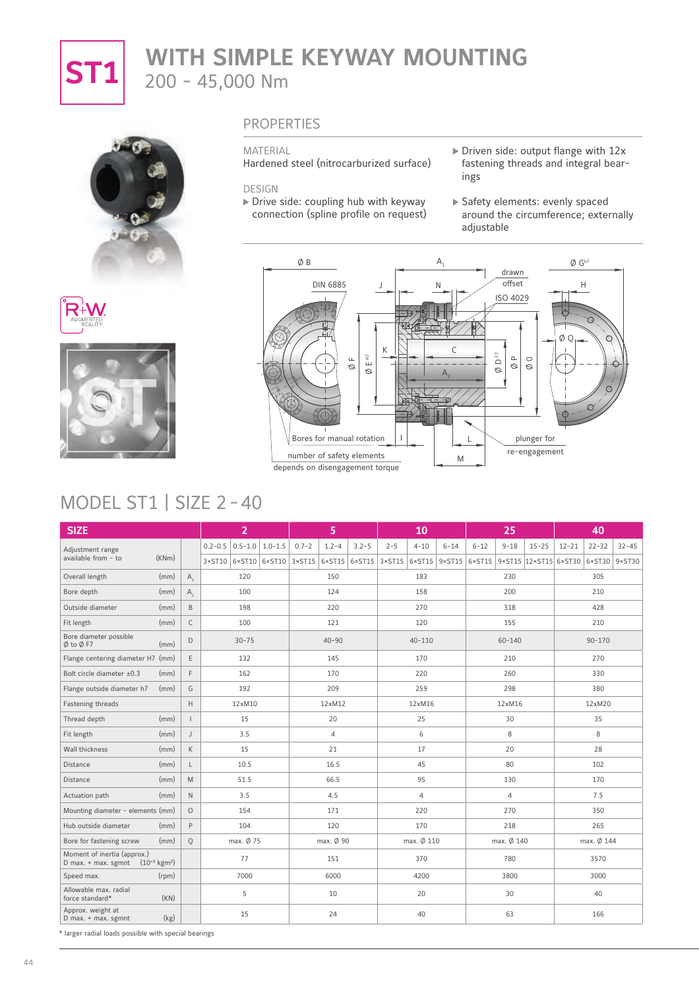

# **ST1** WITH SIMPLE KEYWAY MOUNTING 200 - 45,000 Nm







### PROPERTIES

#### MATERIAL

Hardened steel (nitrocarburized surface)

DESIGN

- $\triangleright$  Drive side: coupling hub with keyway connection (spline profile on request)
- Driven side: output flange with 12x fastening threads and integral bearings
- Safety elements: evenly spaced around the circumference; externally adjustable



# MODEL ST1 | SIZE 2-40

| <b>SIZE</b>                                                                  |       |                |                 | $\overline{2}$      |           | 5              |                                                             |         | 10              |                 |                 | 25             |                       |           | 40                     |           |
|------------------------------------------------------------------------------|-------|----------------|-----------------|---------------------|-----------|----------------|-------------------------------------------------------------|---------|-----------------|-----------------|-----------------|----------------|-----------------------|-----------|------------------------|-----------|
| Adjustment range                                                             |       |                | $0.2 - 0.5$     | $0.5 - 1.0$ 1.0-1.5 | $0.7 - 2$ | $1.2 - 4$      | $3.2 - 5$                                                   | $2 - 5$ | $4 - 10$        | $6 - 14$        | $6 - 12$        | $9 - 18$       | $15 - 25$             | $12 - 21$ | $22 - 32$              | $32 - 45$ |
| available from - to                                                          | (KNm) |                | $3 \times ST10$ |                     |           |                | $6 \times$ ST10 $6 \times$ ST10 3×ST15 6×ST15 6×ST15 3×ST15 |         | $6 \times ST15$ | $9 \times ST15$ | $6 \times$ ST15 |                | 9×ST15 12×ST15 6×ST30 |           | $6 \times$ ST30 9×ST30 |           |
| Overall length                                                               | (mm)  | $A_{1}$        |                 | 120                 |           | 150            |                                                             |         | 183             |                 |                 | 230            |                       |           | 305                    |           |
| Bore depth                                                                   | (mm)  | $A_{2}$        |                 | 100                 |           | 124            |                                                             |         | 158             |                 |                 | 200            |                       |           | 210                    |           |
| Outside diameter                                                             | (mm)  | B              |                 | 198                 |           | 220            |                                                             |         | 270             |                 |                 | 318            |                       |           | 428                    |           |
| Fit length                                                                   | (mm)  | $\mathsf{C}$   |                 | 100                 |           | 121            |                                                             |         | 120             |                 |                 | 155            |                       |           | 210                    |           |
| Bore diameter possible<br>$\emptyset$ to $\emptyset$ F7                      | (mm)  | D              |                 | $30 - 75$           |           | $40 - 90$      |                                                             |         | $40 - 110$      |                 |                 | $60 - 140$     |                       |           | $90 - 170$             |           |
| Flange centering diameter H7 (mm)                                            |       | E              |                 | 132                 |           | 145            |                                                             |         | 170             |                 |                 | 210            |                       |           | 270                    |           |
| Bolt circle diameter ±0.3                                                    | (mm)  | F              |                 | 162                 |           | 170            |                                                             |         | 220             |                 |                 | 260            |                       |           | 330                    |           |
| Flange outside diameter h7                                                   | (mm)  | G              |                 | 192                 |           | 209            |                                                             |         | 259             |                 |                 | 298            |                       |           | 380                    |           |
| Fastening threads                                                            |       | H              |                 | 12xM10              |           | 12xM12         |                                                             |         | 12xM16          |                 |                 | 12xM16         |                       |           | 12xM20                 |           |
| Thread depth                                                                 | (mm)  | $\overline{1}$ |                 | 15                  |           | 20             |                                                             |         | 25              |                 |                 | 30             |                       |           | 35                     |           |
| Fit length                                                                   | (mm)  | J              |                 | 3.5                 |           | $\overline{4}$ |                                                             |         | 6               |                 |                 | 8              |                       |           | 8                      |           |
| Wall thickness                                                               | (mm)  | $\mathsf{K}$   |                 | 15                  |           | 21             |                                                             |         | 17              |                 |                 | 20             |                       |           | 28                     |           |
| Distance                                                                     | (mm)  | $\mathsf{L}$   |                 | 10.5                |           | 16.5           |                                                             |         | 45              |                 |                 | 80             |                       |           | 102                    |           |
| <b>Distance</b>                                                              | (mm)  | M              |                 | 51.5                |           | 66.5           |                                                             |         | 95              |                 |                 | 130            |                       |           | 170                    |           |
| Actuation path                                                               | (mm)  | $\mathsf{N}$   |                 | 3.5                 |           | 4.5            |                                                             |         | $\overline{4}$  |                 |                 | $\overline{4}$ |                       |           | 7.5                    |           |
| Mounting diameter - elements (mm)                                            |       | $\circ$        |                 | 154                 |           | 171            |                                                             |         | 220             |                 |                 | 270            |                       |           | 350                    |           |
| Hub outside diameter                                                         | (mm)  | $\mathsf{P}$   |                 | 104                 |           | 120            |                                                             |         | 170             |                 |                 | 218            |                       |           | 265                    |           |
| Bore for fastening screw                                                     | (mm)  | $\circ$        |                 | max. Ø 75           |           | max. Ø 90      |                                                             |         | max. Ø 110      |                 |                 | max. Ø 140     |                       |           | max. Ø 144             |           |
| Moment of inertia (approx.)<br>D max. + max. sgmnt $(10^{-3} \text{ kgm}^2)$ |       |                |                 | 77                  |           | 151            |                                                             |         | 370             |                 |                 | 780            |                       |           | 3570                   |           |
| Speed max.                                                                   | (rpm) |                |                 | 7000                |           | 6000           |                                                             |         | 4200            |                 |                 | 3800           |                       |           | 3000                   |           |
| Allowable max, radial<br>force standard*                                     | (KN)  |                |                 | 5                   |           | 10             |                                                             |         | 20              |                 |                 | 30             |                       |           | 40                     |           |
| Approx. weight at<br>D max. + max. sgmnt                                     | (kg)  |                |                 | 15                  |           | 24             |                                                             |         | 40              |                 |                 | 63             |                       |           | 166                    |           |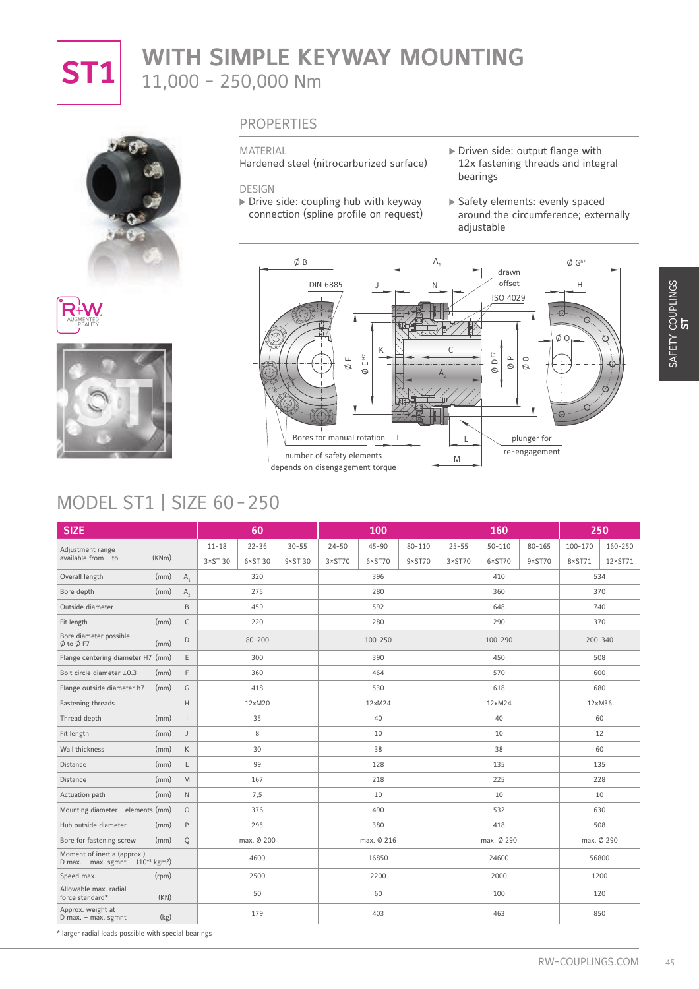

# **ST1** WITH SIMPLE KEYWAY MOUNTING 11,000 - 250,000 Nm







### PROPERTIES

#### MATERIAL

Hardened steel (nitrocarburized surface)

DESIGN

- $\triangleright$  Drive side: coupling hub with keyway connection (spline profile on request)
- Driven side: output flange with 12x fastening threads and integral bearings
- Safety elements: evenly spaced around the circumference; externally adjustable



# MODEL ST1 | SIZE 60-250

| <b>MODEL ST1   SIZE 60-250</b>                                               |                          |                                     |                  | <b>DIN 6885</b><br>Щ<br>Ø<br>Bores for manual rotation<br>number of safety elements | J<br>Κ<br>$\stackrel{\leftrightarrow}{E}$<br>$\circ$<br>depends on disengagement torque | N               | C<br>L<br>M     | offset<br>ISO 4029<br>F<br>$\square$<br>$\mathrel{\triangle}$<br>$\varnothing$<br>Ø | $\circ$<br>Ø<br>plunger for<br>re-engagement | Н<br>ØΟ         | O                |
|------------------------------------------------------------------------------|--------------------------|-------------------------------------|------------------|-------------------------------------------------------------------------------------|-----------------------------------------------------------------------------------------|-----------------|-----------------|-------------------------------------------------------------------------------------|----------------------------------------------|-----------------|------------------|
| <b>SIZE</b>                                                                  |                          | 60                                  |                  |                                                                                     | 100                                                                                     |                 |                 | 160                                                                                 |                                              |                 | 250              |
| Adjustment range                                                             |                          | $22 - 36$<br>$11 - 18$              | $30 - 55$        | $24 - 50$                                                                           | $45 - 90$                                                                               | $80 - 110$      | $25 - 55$       | $50 - 110$                                                                          | $80 - 165$                                   | $100 - 170$     | 160-250          |
| (KNm)<br>available from - to                                                 |                          | $6\times$ ST 30<br>$3 \times ST$ 30 | $9 \times ST$ 30 | $3 \times ST70$                                                                     | 6×ST70                                                                                  | $9 \times ST70$ | $3 \times ST70$ | 6×ST70                                                                              | $9\times$ ST70                               | $8 \times ST71$ | $12 \times ST71$ |
| Overall length<br>(mm)                                                       | $A_{1}$                  | 320                                 |                  |                                                                                     | 396                                                                                     |                 |                 | 410                                                                                 |                                              |                 | 534              |
| Bore depth<br>(mm)                                                           | $A_{2}$                  | 275                                 |                  |                                                                                     | 280                                                                                     |                 |                 | 360                                                                                 |                                              |                 | 370              |
| Outside diameter                                                             | $\mathsf B$              | 459                                 |                  |                                                                                     | 592                                                                                     |                 |                 | 648                                                                                 |                                              |                 | 740              |
| (mm)<br>Fit length                                                           | $\mathsf C$              | 220                                 |                  |                                                                                     | 280                                                                                     |                 |                 | 290                                                                                 |                                              |                 | 370              |
| Bore diameter possible<br>(mm)<br>$\emptyset$ to $\emptyset$ F7              | $\mathsf D$              | $80 - 200$                          |                  |                                                                                     | 100-250                                                                                 |                 |                 | 100-290                                                                             |                                              |                 | 200-340          |
| Flange centering diameter H7 (mm)                                            | $\mathsf E$              | 300                                 |                  |                                                                                     | 390                                                                                     |                 |                 | 450                                                                                 |                                              |                 | 508              |
| Bolt circle diameter ±0.3<br>(mm)                                            | $\mathsf F$              | 360                                 |                  |                                                                                     | 464                                                                                     |                 |                 | 570                                                                                 |                                              |                 | 600              |
| Flange outside diameter h7<br>(mm)                                           | G                        | 418                                 |                  |                                                                                     | 530                                                                                     |                 |                 | 618                                                                                 |                                              |                 | 680              |
| Fastening threads                                                            | $\mathsf H$              | 12xM20                              |                  |                                                                                     | 12xM24                                                                                  |                 |                 | 12xM24                                                                              |                                              |                 | 12xM36           |
| Thread depth<br>(mm)                                                         | $\overline{\phantom{a}}$ | 35                                  |                  |                                                                                     | 40                                                                                      |                 |                 | 40                                                                                  |                                              |                 | 60               |
| (mm)<br>Fit length                                                           | $\mathsf J$              | 8                                   |                  |                                                                                     | 10                                                                                      |                 |                 | 10                                                                                  |                                              |                 | 12               |
| Wall thickness<br>(mm)                                                       | $\mathsf K$              | 30                                  |                  |                                                                                     | 38                                                                                      |                 |                 | 38                                                                                  |                                              |                 | 60               |
| (mm)<br>Distance                                                             | $\mathsf L$              | 99                                  |                  |                                                                                     | 128                                                                                     |                 |                 | 135                                                                                 |                                              |                 | 135              |
| (mm)<br>Distance                                                             | ${\sf M}$                | 167                                 |                  |                                                                                     | 218                                                                                     |                 |                 | 225                                                                                 |                                              |                 | 228              |
| Actuation path<br>(mm)                                                       | $\hbox{N}$               | 7,5                                 |                  |                                                                                     | 10                                                                                      |                 |                 | 10                                                                                  |                                              |                 | 10               |
| Mounting diameter - elements (mm)                                            | $\circ$                  | 376                                 |                  |                                                                                     | 490                                                                                     |                 |                 | 532                                                                                 |                                              |                 | 630              |
| Hub outside diameter<br>(mm)                                                 | P                        | 295                                 |                  |                                                                                     | 380                                                                                     |                 |                 | 418                                                                                 |                                              |                 | 508              |
| Bore for fastening screw<br>(mm)                                             | Q                        | max. Ø 200                          |                  |                                                                                     | max. Ø 216                                                                              |                 |                 | max. Ø 290                                                                          |                                              |                 | max. Ø 290       |
| Moment of inertia (approx.)<br>D max. + max. sgmnt $(10^{-3} \text{ kgm}^2)$ |                          | 4600                                |                  |                                                                                     | 16850                                                                                   |                 |                 | 24600                                                                               |                                              |                 | 56800            |
|                                                                              |                          | 2500                                |                  |                                                                                     | 2200                                                                                    |                 |                 | 2000                                                                                |                                              |                 | 1200             |
| (rpm)                                                                        |                          |                                     |                  |                                                                                     | 60                                                                                      |                 |                 | 100                                                                                 |                                              | 120             |                  |
| Speed max.<br>Allowable max, radial<br>(KN)<br>force standard*               |                          | 50                                  |                  |                                                                                     |                                                                                         |                 |                 |                                                                                     |                                              |                 |                  |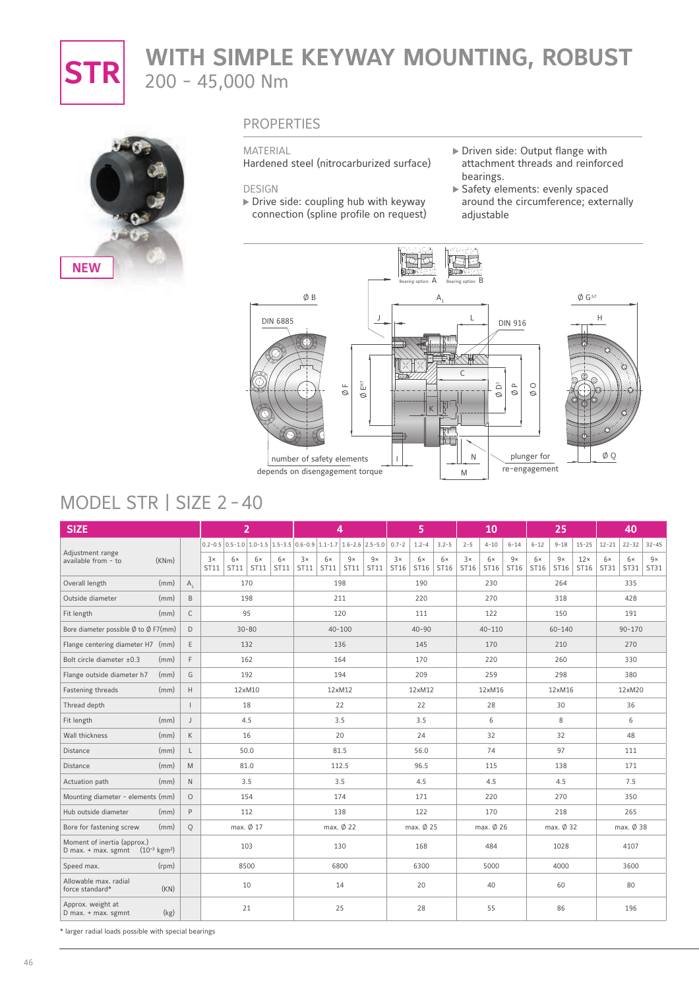

# **STR** WITH SIMPLE KEYWAY MOUNTING, ROBUST 200 - 45,000 Nm



### PROPERTIES

#### MATERIAL

Hardened steel (nitrocarburized surface)

DESIGN

- $\triangleright$  Drive side: coupling hub with keyway connection (spline profile on request)
- Driven side: Output flange with attachment threads and reinforced bearings.
- Safety elements: evenly spaced around the circumference; externally adjustable



# MODEL STR | SIZE 2-40

| <b>SIZE</b>                                                                  |       |              |            | $\overline{2}$                                                                                  |            |            |            |                   | 4          |            |            | 5          |            |            | 10         |            |            | 25         |                    |            | 40                |            |
|------------------------------------------------------------------------------|-------|--------------|------------|-------------------------------------------------------------------------------------------------|------------|------------|------------|-------------------|------------|------------|------------|------------|------------|------------|------------|------------|------------|------------|--------------------|------------|-------------------|------------|
|                                                                              |       |              |            | $0.2 - 0.5$ $0.5 - 1.0$ $1.0 - 1.5$ $1.5 - 3.5$ $0.6 - 0.9$ $1.1 - 1.7$ $1.6 - 2.6$ $2.5 - 5.0$ |            |            |            |                   |            |            | $0.7 - 2$  | $1.2 - 4$  | $3.2 - 5$  | $2 - 5$    | $4 - 10$   | $6 - 14$   | $6 - 12$   | $9 - 18$   | $15 - 25$          | $12 - 21$  | $22 - 32$         | $32 - 45$  |
| Adjustment range<br>available from - to                                      | (KNm) |              | 3x<br>ST11 | 6x<br>ST11                                                                                      | 6x<br>ST11 | 6x<br>ST11 | 3x<br>ST11 | $6\times$<br>ST11 | 9x<br>ST11 | 9x<br>ST11 | 3x<br>ST16 | 6x<br>ST16 | 6x<br>ST16 | 3x<br>ST16 | 6x<br>ST16 | 9x<br>ST16 | 6x<br>ST16 | 9x<br>ST16 | $12\times$<br>ST16 | 6x<br>ST31 | $6\times$<br>ST31 | 9x<br>ST31 |
| Overall length                                                               | (mm)  | $A_{1}$      |            | 170                                                                                             |            |            |            |                   | 198        |            |            | 190        |            |            | 230        |            |            | 264        |                    |            | 335               |            |
| Outside diameter                                                             | (mm)  | B            |            | 198                                                                                             |            |            |            |                   | 211        |            |            | 220        |            |            | 270        |            |            | 318        |                    |            | 428               |            |
| Fit length                                                                   | (mm)  | $\mathsf{C}$ |            | 95                                                                                              |            |            |            |                   | 120        |            |            | 111        |            |            | 122        |            |            | 150        |                    |            | 191               |            |
| Bore diameter possible $\emptyset$ to $\emptyset$ F7(mm)                     |       | D            |            | $30 - 80$                                                                                       |            |            |            |                   | $40 - 100$ |            |            | $40 - 90$  |            |            | $40 - 110$ |            |            | $60 - 140$ |                    |            | $90 - 170$        |            |
| Flange centering diameter H7 (mm)                                            |       | E            |            | 132                                                                                             |            |            |            |                   | 136        |            |            | 145        |            |            | 170        |            |            | 210        |                    |            | 270               |            |
| Bolt circle diameter ±0.3                                                    | (mm)  | E            |            | 162                                                                                             |            |            |            |                   | 164        |            |            | 170        |            |            | 220        |            |            | 260        |                    |            | 330               |            |
| Flange outside diameter h7                                                   | (mm)  | G            |            | 192                                                                                             |            |            |            |                   | 194        |            |            | 209        |            |            | 259        |            |            | 298        |                    |            | 380               |            |
| Fastening threads                                                            | (mm)  | H            |            | 12xM10                                                                                          |            |            |            |                   | 12xM12     |            |            | 12xM12     |            |            | 12xM16     |            |            | 12xM16     |                    |            | 12xM20            |            |
| Thread depth                                                                 |       |              |            | 18                                                                                              |            |            |            |                   | 22         |            |            | 22         |            |            | 28         |            |            | 30         |                    |            | 36                |            |
| Fit length                                                                   | (mm)  | J            |            | 4.5                                                                                             |            |            |            |                   | 3.5        |            |            | 3.5        |            |            | 6          |            |            | 8          |                    |            | 6                 |            |
| Wall thickness                                                               | (mm)  | K            |            | 16                                                                                              |            |            |            |                   | 20         |            |            | 24         |            |            | 32         |            |            | 32         |                    |            | 48                |            |
| Distance                                                                     | (mm)  | L            |            | 50.0                                                                                            |            |            |            |                   | 81.5       |            |            | 56.0       |            |            | 74         |            |            | 97         |                    |            | 111               |            |
| Distance                                                                     | (mm)  | M            |            | 81.0                                                                                            |            |            |            |                   | 112.5      |            | 96.5       |            |            | 115        |            |            | 138        |            |                    |            | 171               |            |
| Actuation path                                                               | (mm)  | $\mathbb N$  |            | 3.5                                                                                             |            |            |            |                   | 3.5        |            |            | 4.5        |            |            | 4.5        |            |            | 4.5        |                    |            | 7.5               |            |
| Mounting diameter - elements (mm)                                            |       | $\circ$      |            | 154                                                                                             |            |            |            |                   | 174        |            |            | 171        |            |            | 220        |            |            | 270        |                    |            | 350               |            |
| Hub outside diameter                                                         | (mm)  | P            |            | 112                                                                                             |            |            |            |                   | 138        |            |            | 122        |            |            | 170        |            |            | 218        |                    |            | 265               |            |
| Bore for fastening screw                                                     | (mm)  | Q            |            | max. Ø 17                                                                                       |            |            |            |                   | max. Ø 22  |            |            | max. Ø 25  |            |            | max. Ø 26  |            |            | max. Ø 32  |                    |            | max. Ø 38         |            |
| Moment of inertia (approx.)<br>D max. + max. sgmnt $(10^{-3} \text{ kgm}^2)$ |       |              |            | 103                                                                                             |            |            |            |                   | 130        |            |            | 168        |            |            | 484        |            |            | 1028       |                    |            | 4107              |            |
| Speed max.                                                                   | (rpm) |              |            | 8500                                                                                            |            |            |            |                   | 6800       |            |            | 6300       |            |            | 5000       |            |            | 4000       |                    |            | 3600              |            |
| Allowable max. radial<br>force standard*                                     | (KN)  |              |            | 10                                                                                              |            |            |            |                   | 14         |            |            | 20         |            |            | 40         |            |            | 60         |                    |            | 80                |            |
| Approx. weight at<br>D max. + max. sgmnt                                     | (kg)  |              |            | 21                                                                                              |            |            |            |                   | 25         |            |            | 28         |            |            | 55         |            |            | 86         |                    |            | 196               |            |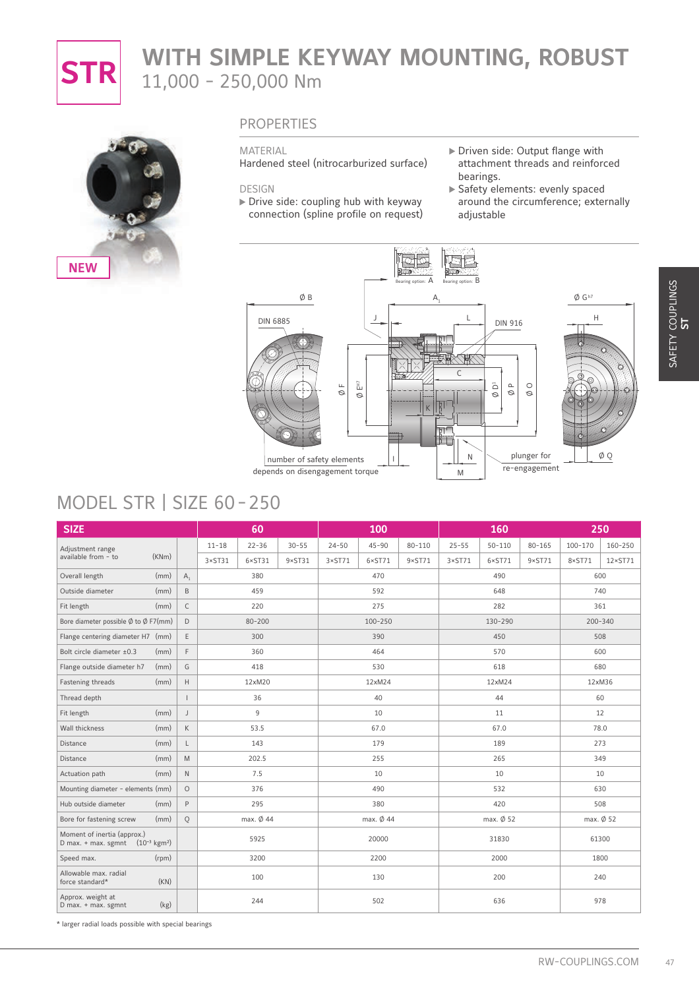

# **STR** WITH SIMPLE KEYWAY MOUNTING, ROBUST 11,000 - 250,000 Nm



### **PROPERTIES**

#### MATERIAL

Hardened steel (nitrocarburized surface)

#### DESIGN

- $\triangleright$  Drive side: coupling hub with keyway connection (spline profile on request)
- Driven side: Output flange with attachment threads and reinforced bearings.
- Safety elements: evenly spaced around the circumference; externally adjustable



# MODEL STR | SIZE 60-250

|                                                                                                                 |                          | ØΒ<br><b>DIN 6885</b>                                 | 됪<br>Щ<br>$\mathcal{O}$<br>$\circ$<br>number of safety elements<br>depends on disengagement torque | А.<br>$\sf K$                      | L<br>u<br>$\mathsf{C}$<br>ŢΤ<br>T<br>Ν<br>M | <b>DIN 916</b><br>Õ<br>$\square$<br>Ø<br>Ø | $\circ$<br>$\varnothing$<br>plunger for<br>re-engagement | $\emptyset$ G <sup>h7</sup><br>Н<br>O) | ØQ               |
|-----------------------------------------------------------------------------------------------------------------|--------------------------|-------------------------------------------------------|----------------------------------------------------------------------------------------------------|------------------------------------|---------------------------------------------|--------------------------------------------|----------------------------------------------------------|----------------------------------------|------------------|
| MODEL STR   SIZE 60-250<br><b>SIZE</b>                                                                          |                          | 60                                                    |                                                                                                    | 100                                |                                             | 160                                        |                                                          |                                        | 250              |
| Adjustment range                                                                                                |                          | $11 - 18$<br>$22 - 36$<br>$30 - 55$                   | $24 - 50$                                                                                          | $45 - 90$<br>$80 - 110$            | $25 - 55$                                   | $50 - 110$                                 | $80 - 165$                                               | 100-170                                | 160-250          |
| available from - to<br>(KNm)                                                                                    |                          | $3 \times ST31$<br>$6 \times ST31$<br>$9 \times ST31$ | $3 \times ST71$                                                                                    | $6 \times ST71$<br>$9 \times ST71$ | $3 \times ST71$                             | $6 \times ST71$                            | $9 \times ST71$                                          | $8 \times ST71$                        | $12 \times ST71$ |
| Overall length<br>(mm)                                                                                          | $A_1$                    | 380                                                   |                                                                                                    | 470                                |                                             | 490                                        |                                                          |                                        | 600              |
| Outside diameter<br>(mm)                                                                                        | $\,$ B                   | 459                                                   |                                                                                                    | 592                                |                                             | 648                                        |                                                          |                                        | 740              |
| Fit length<br>(mm)                                                                                              | $\mathsf C$              | 220                                                   |                                                                                                    | 275                                |                                             | 282                                        |                                                          |                                        | 361              |
| Bore diameter possible $\emptyset$ to $\emptyset$ F7(mm)                                                        | $\mathsf D$              | $80 - 200$                                            |                                                                                                    | 100-250                            |                                             | 130-290                                    |                                                          |                                        | 200-340          |
| Flange centering diameter H7 (mm)                                                                               | $\mathsf E$              | 300                                                   |                                                                                                    | 390                                |                                             | 450                                        |                                                          |                                        | 508              |
| Bolt circle diameter ±0.3<br>(mm)                                                                               | $\mathsf{F}$             | 360                                                   |                                                                                                    | 464                                |                                             | 570                                        |                                                          |                                        | 600              |
| (mm)<br>Flange outside diameter h7                                                                              | G                        | 418                                                   |                                                                                                    | 530                                |                                             | 618                                        |                                                          |                                        | 680              |
| Fastening threads<br>(mm)                                                                                       | $\mathsf H$              | 12xM20                                                |                                                                                                    | 12xM24                             |                                             | 12xM24                                     |                                                          |                                        | 12xM36           |
| Thread depth                                                                                                    | $\overline{\phantom{a}}$ | 36                                                    |                                                                                                    | 40                                 |                                             | 44                                         |                                                          |                                        | 60               |
| (mm)<br>Fit length                                                                                              | $\mathsf J$              | 9                                                     |                                                                                                    | 10                                 |                                             | 11                                         |                                                          |                                        | 12               |
| Wall thickness<br>(mm)                                                                                          | $\mathsf K$              | 53.5                                                  |                                                                                                    | 67.0                               |                                             | 67.0                                       |                                                          |                                        | 78.0             |
| (mm)<br>Distance                                                                                                | L                        | 143                                                   |                                                                                                    | 179                                |                                             | 189                                        |                                                          |                                        | 273              |
| Distance<br>(mm)                                                                                                | M                        | 202.5                                                 |                                                                                                    | 255                                |                                             | 265                                        |                                                          |                                        | 349              |
| Actuation path<br>(mm)                                                                                          | $\hbox{N}$               | 7.5                                                   |                                                                                                    | 10                                 |                                             | 10                                         |                                                          |                                        | 10               |
| Mounting diameter - elements (mm)                                                                               | $\circ$                  | 376                                                   |                                                                                                    | 490                                |                                             | 532                                        |                                                          |                                        | 630              |
| $(mm)$ $P$<br>Hub outside diameter                                                                              |                          | 295                                                   |                                                                                                    | 380                                |                                             | 420                                        |                                                          |                                        | 508              |
| Bore for fastening screw<br>(mm)<br>Moment of inertia (approx.)                                                 | Q                        | max. Ø 44                                             |                                                                                                    | max. Ø 44                          |                                             | max. $\emptyset$ 52                        |                                                          |                                        | max. Ø 52        |
|                                                                                                                 |                          | 5925                                                  |                                                                                                    | 20000                              |                                             | 31830                                      |                                                          |                                        | 61300            |
|                                                                                                                 |                          | 3200                                                  |                                                                                                    | 2200                               |                                             | 2000                                       |                                                          |                                        | 1800             |
| (rpm)                                                                                                           |                          |                                                       |                                                                                                    |                                    |                                             |                                            |                                                          |                                        |                  |
| D max. + max. sgmnt $(10^{-3} \text{ kgm}^2)$<br>Speed max.<br>Allowable max. radial<br>(KN)<br>force standard* |                          | 100                                                   |                                                                                                    | 130                                |                                             | 200                                        |                                                          |                                        | 240              |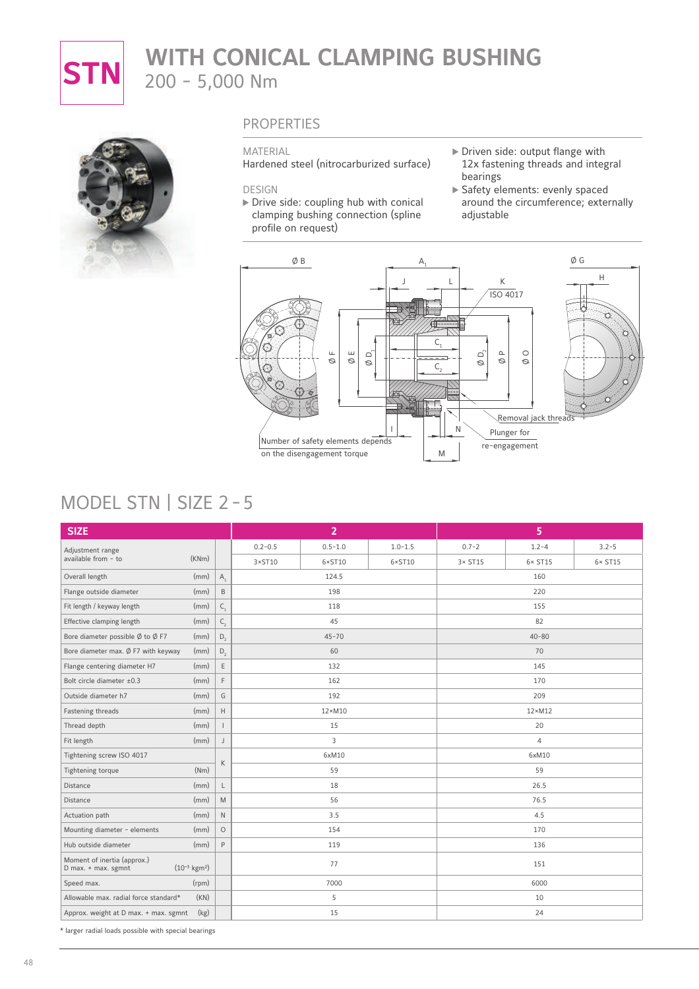

# **STN** WITH CONICAL CLAMPING BUSHING 200 - 5,000 Nm



### PROPERTIES

#### MATERIAL

Hardened steel (nitrocarburized surface)

#### DESIGN

- $\triangleright$  Drive side: coupling hub with conical clamping bushing connection (spline profile on request)
- Driven side: output flange with 12x fastening threads and integral bearings
- Safety elements: evenly spaced around the circumference; externally adjustable



# MODEL STN | SIZE 2 - 5

| <b>SIZE</b>                                                                     |       |                         |                 | $\overline{2}$  |                 |                 | 5               |                 |  |  |
|---------------------------------------------------------------------------------|-------|-------------------------|-----------------|-----------------|-----------------|-----------------|-----------------|-----------------|--|--|
| Adjustment range                                                                |       |                         | $0.2 - 0.5$     | $0.5 - 1.0$     | $1.0 - 1.5$     | $0.7 - 2$       | $1.2 - 4$       | $3.2 - 5$       |  |  |
| available from - to                                                             | (KNm) |                         | $3 \times ST10$ | $6 \times$ ST10 | $6 \times$ ST10 | $3 \times$ ST15 | $6 \times ST15$ | $6 \times$ ST15 |  |  |
| Overall length                                                                  | (mm)  | $A_{1}$                 |                 | 124.5           |                 |                 | 160             |                 |  |  |
| Flange outside diameter                                                         | (mm)  | $\,$ B                  |                 | 198             |                 |                 | 220             |                 |  |  |
| Fit length / keyway length                                                      | (mm)  | $\mathsf{C}_\mathsf{1}$ |                 | 118             |                 |                 | 155             |                 |  |  |
| Effective clamping length                                                       | (mm)  | $\mathsf{C}_{_2}$       |                 | 45              |                 |                 | 82              |                 |  |  |
| Bore diameter possible $\emptyset$ to $\emptyset$ F7                            | (mm)  | $D_{2}$                 |                 | $45 - 70$       |                 |                 | $40 - 80$       |                 |  |  |
| Bore diameter max. $\emptyset$ F7 with keyway                                   | (mm)  | $D_{2}$                 |                 | 60              |                 |                 | 70              |                 |  |  |
| Flange centering diameter H7                                                    | (mm)  | $\mathsf E$             | 132             |                 |                 |                 | 145             |                 |  |  |
| Bolt circle diameter ±0.3                                                       | (mm)  | $\mathsf{F}$            | 162             |                 |                 | 170             |                 |                 |  |  |
| Outside diameter h7                                                             | (mm)  | G                       |                 | 192             |                 |                 | 209             |                 |  |  |
| Fastening threads                                                               | (mm)  | $\mathbb H$             |                 | $12\times M10$  |                 |                 | $12 \times M12$ |                 |  |  |
| Thread depth                                                                    | (mm)  | $\mathbf{I}$            |                 | 15              |                 |                 | 20              |                 |  |  |
| Fit length                                                                      | (mm)  | J                       |                 | 3               |                 |                 | $\overline{4}$  |                 |  |  |
| Tightening screw ISO 4017                                                       |       | $\mathsf{K}$            |                 | 6xM10           |                 |                 | 6xM10           |                 |  |  |
| Tightening torque                                                               | (Nm)  |                         |                 | 59              |                 |                 | 59              |                 |  |  |
| Distance                                                                        | (mm)  | L                       |                 | 18              |                 |                 | 26.5            |                 |  |  |
| Distance                                                                        | (mm)  | M                       |                 | 56              |                 |                 | 76.5            |                 |  |  |
| Actuation path                                                                  | (mm)  | $\mathsf{N}$            |                 | 3.5             |                 |                 | 4.5             |                 |  |  |
| Mounting diameter - elements                                                    | (mm)  | $\circ$                 |                 | 154             |                 |                 | 170             |                 |  |  |
| Hub outside diameter                                                            | (mm)  | $\mathsf{P}$            |                 | 119             |                 |                 | 136             |                 |  |  |
| Moment of inertia (approx.)<br>$(10^{-3} \text{ kgm}^2)$<br>D max. + max. sgmnt |       |                         |                 | 77              |                 |                 | 151             |                 |  |  |
| Speed max.                                                                      | (rpm) |                         |                 | 7000            |                 |                 | 6000            |                 |  |  |
| Allowable max. radial force standard*                                           | (KN)  |                         |                 | 5               |                 |                 | 10              |                 |  |  |
| Approx. weight at D max. + max. sgmnt                                           | (kg)  |                         |                 | 15              |                 |                 | 24              |                 |  |  |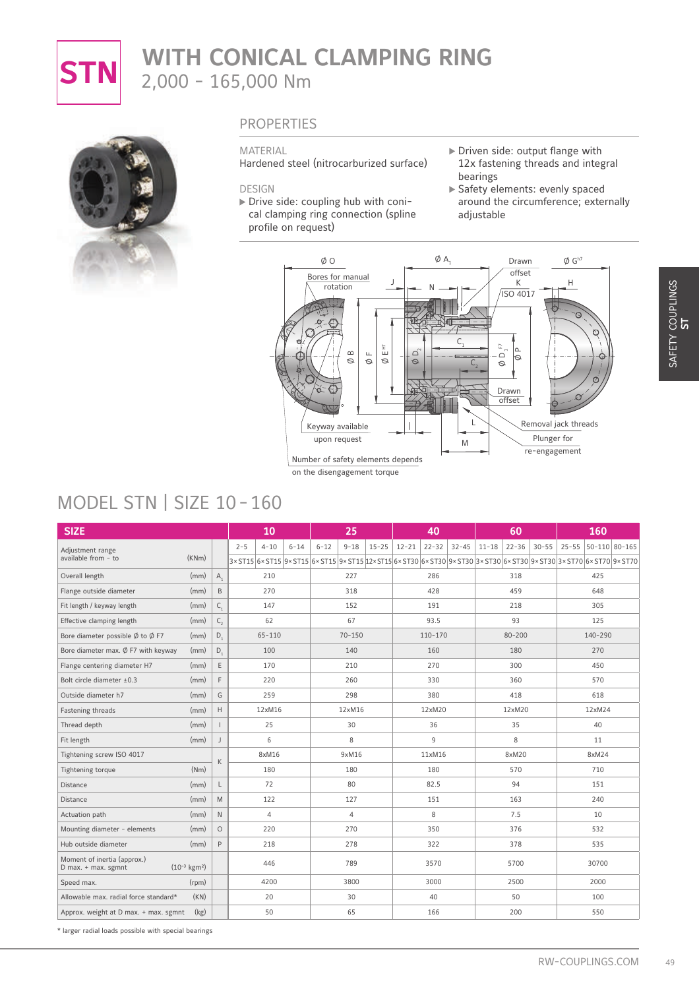

# **STN** WITH CONICAL CLAMPING RING 2,000 - 165,000 Nm



### PROPERTIES

#### MATERIAL

Hardened steel (nitrocarburized surface)

#### DESIGN

- Drive side: coupling hub with conical clamping ring connection (spline profile on request)
- Driven side: output flange with 12x fastening threads and integral bearings
- Safety elements: evenly spaced around the circumference; externally adjustable



# MODEL STN | SIZE 10 - 160

| MODEL STN   SIZE 10-160                              |                           |                         |                                 | rotation<br>$\mathbb E$ $\mathbb H$<br>$\infty$<br>$\sqcup$<br>$\oslash$<br>Ø<br>$\circ$<br>Keyway available<br>upon request<br>Number of safety elements depends<br>on the disengagement torque | C<br>$\Box$<br>Ø<br>$C_{2}$<br>M                                                                                 | К<br>ISO 4017<br>$\overline{\Xi}$<br>lم<br>$\mathbin{\supset}$<br>Ø<br>Ø<br>Drawn<br>offset<br>Plunger for<br>re-engagement | H<br>ς<br>O<br>Removal jack threads |
|------------------------------------------------------|---------------------------|-------------------------|---------------------------------|--------------------------------------------------------------------------------------------------------------------------------------------------------------------------------------------------|------------------------------------------------------------------------------------------------------------------|-----------------------------------------------------------------------------------------------------------------------------|-------------------------------------|
| <b>SIZE</b>                                          |                           |                         | 10                              | 25                                                                                                                                                                                               | 40                                                                                                               | 60                                                                                                                          | 160                                 |
|                                                      |                           |                         | $4 - 10$<br>$2 - 5$<br>$6 - 14$ | $9 - 18$<br>$15 - 25$<br>$6 - 12$                                                                                                                                                                | $12 - 21$<br>$22 - 32$<br>$32 - 45$                                                                              | $30 - 55$<br>$11 - 18$<br>$22 - 36$                                                                                         | 25-55 50-110 80-165                 |
| Adjustment range<br>available from - to              | (KNm)                     |                         |                                 |                                                                                                                                                                                                  | 3×ST15 6×ST15 9×ST15 6×ST15 9×ST15 9×ST15 12×ST15 6×ST30 6×ST30 9×ST30 3×ST30 6×ST30 9×ST30 3×ST70 6×ST70 9×ST70 |                                                                                                                             |                                     |
| Overall length                                       | (mm)                      | $A_1$                   | 210                             | 227                                                                                                                                                                                              | 286                                                                                                              | 318                                                                                                                         | 425                                 |
| Flange outside diameter                              | (mm)                      | B                       | 270                             | 318                                                                                                                                                                                              | 428                                                                                                              | 459                                                                                                                         | 648                                 |
| Fit length / keyway length                           | (mm)                      | $\mathsf{C}_\mathsf{1}$ | 147                             | 152                                                                                                                                                                                              | 191                                                                                                              | 218                                                                                                                         | 305                                 |
| Effective clamping length                            | (mm)                      | $\mathsf{C}_2$          | 62                              | 67                                                                                                                                                                                               | 93.5                                                                                                             | 93                                                                                                                          | 125                                 |
| Bore diameter possible $\emptyset$ to $\emptyset$ F7 | (mm)                      | $D_{1}$                 | $65 - 110$                      | $70 - 150$                                                                                                                                                                                       | 110-170                                                                                                          | $80 - 200$                                                                                                                  | 140-290                             |
| Bore diameter max. Ø F7 with keyway                  | (mm)                      | $D_1$                   | 100                             | 140                                                                                                                                                                                              | 160                                                                                                              | 180                                                                                                                         | 270                                 |
| Flange centering diameter H7                         | (mm)                      | Ε                       | 170                             | 210                                                                                                                                                                                              | 270                                                                                                              | 300                                                                                                                         | 450                                 |
| Bolt circle diameter ±0.3                            | (mm)                      | $\mathsf F$             | 220                             | 260                                                                                                                                                                                              | 330                                                                                                              | 360                                                                                                                         | 570                                 |
| Outside diameter h7                                  | (mm)                      | G                       | 259                             | 298                                                                                                                                                                                              | 380                                                                                                              | 418                                                                                                                         | 618                                 |
| Fastening threads                                    | (mm)                      | Н                       | 12xM16                          | 12xM16                                                                                                                                                                                           | 12xM20                                                                                                           | 12xM20                                                                                                                      | 12xM24                              |
| Thread depth                                         | (mm)                      | $\mathbf{I}$            | 25                              | 30                                                                                                                                                                                               | 36                                                                                                               | 35                                                                                                                          | 40                                  |
| Fit length                                           | (mm)                      | $\mathsf J$             | 6                               | $\,$ 8 $\,$                                                                                                                                                                                      | 9                                                                                                                | 8                                                                                                                           | 11                                  |
| Tightening screw ISO 4017                            |                           | К                       | 8xM16                           | 9xM16                                                                                                                                                                                            | 11xM16                                                                                                           | 8xM20                                                                                                                       | 8xM24                               |
| Tightening torque                                    | (Nm)                      |                         | 180                             | 180                                                                                                                                                                                              | 180                                                                                                              | 570                                                                                                                         | 710                                 |
| Distance                                             | (mm)                      | L                       | 72                              | 80                                                                                                                                                                                               | 82.5                                                                                                             | 94                                                                                                                          | 151                                 |
| Distance                                             | (mm)                      | ${\sf M}$               | 122                             | 127                                                                                                                                                                                              | 151                                                                                                              | 163                                                                                                                         | 240                                 |
| Actuation path                                       | (mm)                      | $\mathbb N$             | $\overline{4}$                  | $\overline{4}$                                                                                                                                                                                   | 8                                                                                                                | 7.5                                                                                                                         | 10                                  |
| Mounting diameter - elements                         | (mm)                      | $\circ$                 | 220                             | 270                                                                                                                                                                                              | 350                                                                                                              | 376                                                                                                                         | 532                                 |
| Hub outside diameter                                 | (mm)                      | $\, {\sf P}$            | 218                             | 278                                                                                                                                                                                              | 322                                                                                                              | 378                                                                                                                         | 535                                 |
|                                                      | $(10^{-3} \text{ kgm}^2)$ |                         | 446                             | 789                                                                                                                                                                                              | 3570                                                                                                             | 5700                                                                                                                        | 30700                               |
| Moment of inertia (approx.)<br>D max. + max. sgmnt   |                           |                         |                                 |                                                                                                                                                                                                  |                                                                                                                  | 2500                                                                                                                        | 2000                                |
| Speed max.                                           | (rpm)                     |                         | 4200                            | 3800                                                                                                                                                                                             | 3000                                                                                                             |                                                                                                                             |                                     |
| Allowable max. radial force standard*                | (KN)                      |                         | 20                              | 30                                                                                                                                                                                               | 40                                                                                                               | 50                                                                                                                          | 100                                 |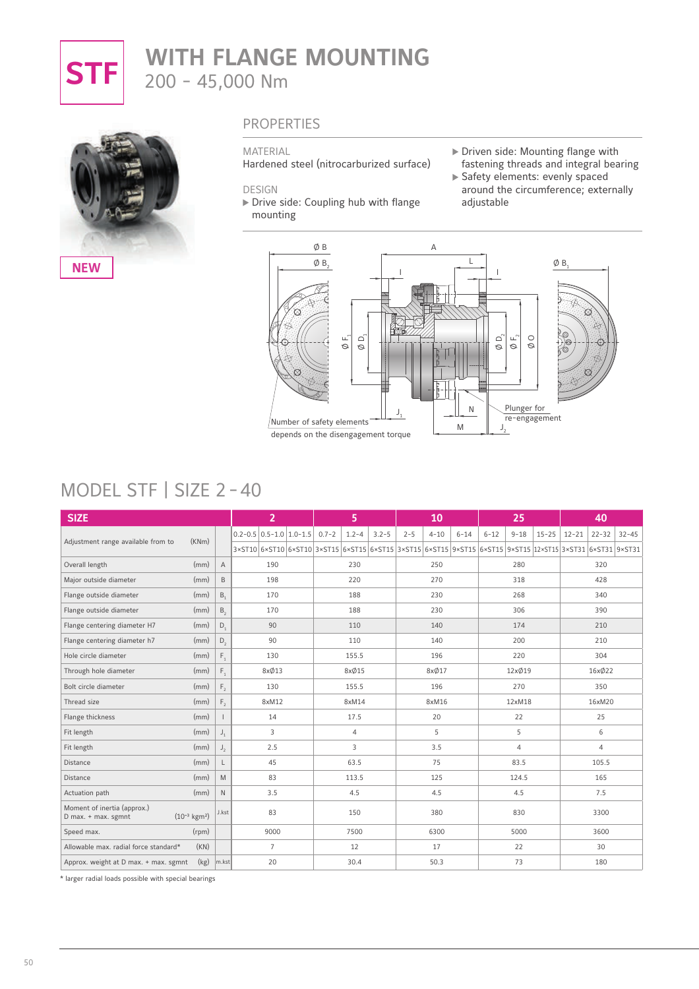

# **STF** WITH FLANGE MOUNTING 200 - 45,000 Nm



### PROPERTIES

#### MATERIAL

Hardened steel (nitrocarburized surface)

DESIGN

Drive side: Coupling hub with flange mounting

- Driven side: Mounting flange with
- fastening threads and integral bearing Safety elements: evenly spaced around the circumference; externally adjustable



# MODEL STF | SIZE 2 - 40

| <b>SIZE</b>                                        |                           |                |                                 | $\overline{2}$ |           | 5              |           |         | 10       |          |          | 25       |           |                                                                                                                  | 40             |           |
|----------------------------------------------------|---------------------------|----------------|---------------------------------|----------------|-----------|----------------|-----------|---------|----------|----------|----------|----------|-----------|------------------------------------------------------------------------------------------------------------------|----------------|-----------|
|                                                    |                           |                | $0.2 - 0.5$ 0.5 - 1.0 1.0 - 1.5 |                | $0.7 - 2$ | $1.2 - 4$      | $3.2 - 5$ | $2 - 5$ | $4 - 10$ | $6 - 14$ | $6 - 12$ | $9 - 18$ | $15 - 25$ | $12 - 21$                                                                                                        | $22 - 32$      | $32 - 45$ |
| Adjustment range available from to                 | (KNm)                     |                |                                 |                |           |                |           |         |          |          |          |          |           | 3×ST10 6×ST10 6×ST10 3×ST15 6×ST15 6×ST15 3×ST15 6×ST15 9×ST15 6×ST15 6×ST15 9×ST15 12×ST15 3×ST31 6×ST31 9×ST31 |                |           |
| Overall length                                     | (mm)                      | $\overline{A}$ |                                 | 190            |           | 230            |           |         | 250      |          |          | 280      |           |                                                                                                                  | 320            |           |
| Major outside diameter                             | (mm)                      | B              |                                 | 198            |           | 220            |           |         | 270      |          |          | 318      |           |                                                                                                                  | 428            |           |
| Flange outside diameter                            | (mm)                      | B <sub>1</sub> |                                 | 170            |           | 188            |           |         | 230      |          |          | 268      |           |                                                                                                                  | 340            |           |
| Flange outside diameter                            | (mm)                      | $B_{2}$        |                                 | 170            |           | 188            |           |         | 230      |          |          | 306      |           |                                                                                                                  | 390            |           |
| Flange centering diameter H7                       | (mm)                      | $D_{1}$        |                                 | 90             |           | 110            |           |         | 140      |          |          | 174      |           |                                                                                                                  | 210            |           |
| Flange centering diameter h7                       | (mm)                      | $D_{2}$        |                                 | 90             |           | 110            |           |         | 140      |          |          | 200      |           |                                                                                                                  | 210            |           |
| Hole circle diameter                               | (mm)                      | $F_{1}$        |                                 | 130            |           | 155.5          |           |         | 196      |          |          | 220      |           |                                                                                                                  | 304            |           |
| Through hole diameter                              | (mm)                      | $F_{1}$        |                                 | 8xØ13          |           | 8xØ15          |           |         | 8xØ17    |          |          | 12xØ19   |           |                                                                                                                  | 16xØ22         |           |
| Bolt circle diameter                               | (mm)                      | $F_{2}$        |                                 | 130            |           | 155.5          |           |         | 196      |          |          | 270      |           |                                                                                                                  | 350            |           |
| Thread size                                        | (mm)                      | $F_{2}$        |                                 | 8xM12          |           | 8xM14          |           |         | 8xM16    |          |          | 12xM18   |           |                                                                                                                  | 16xM20         |           |
| Flange thickness                                   | (mm)                      |                |                                 | 14             |           | 17.5           |           |         | 20       |          |          | 22       |           |                                                                                                                  | 25             |           |
| Fit length                                         | (mm)                      | $J_{1}$        |                                 | 3              |           | $\overline{4}$ |           |         | 5        |          |          | 5        |           |                                                                                                                  | 6              |           |
| Fit length                                         | (mm)                      | J <sub>2</sub> |                                 | 2.5            |           | 3              |           |         | 3.5      |          |          | 4        |           |                                                                                                                  | $\overline{4}$ |           |
| Distance                                           | (mm)                      | L              |                                 | 45             |           | 63.5           |           |         | 75       |          |          | 83.5     |           |                                                                                                                  | 105.5          |           |
| Distance                                           | (mm)                      | M              |                                 | 83             |           | 113.5          |           |         | 125      |          |          | 124.5    |           |                                                                                                                  | 165            |           |
| Actuation path                                     | (mm)                      | $\mathsf{N}$   |                                 | 3.5            |           | 4.5            |           |         | 4.5      |          |          | 4.5      |           |                                                                                                                  | 7.5            |           |
| Moment of inertia (approx.)<br>D max. + max. sgmnt | $(10^{-3} \text{ kgm}^2)$ | J.kst          |                                 | 83             |           | 150            |           |         | 380      |          |          | 830      |           |                                                                                                                  | 3300           |           |
| Speed max.                                         | (rpm)                     |                |                                 | 9000           |           | 7500           |           |         | 6300     |          |          | 5000     |           |                                                                                                                  | 3600           |           |
| Allowable max. radial force standard*              | (KN)                      |                |                                 | $\overline{7}$ |           | 12             |           |         | 17       |          |          | 22       |           |                                                                                                                  | 30             |           |
| Approx. weight at D max. + max. sgmnt              | (kg)                      | m.kst          |                                 | 20             |           | 30.4           |           |         | 50.3     |          |          | 73       |           |                                                                                                                  | 180            |           |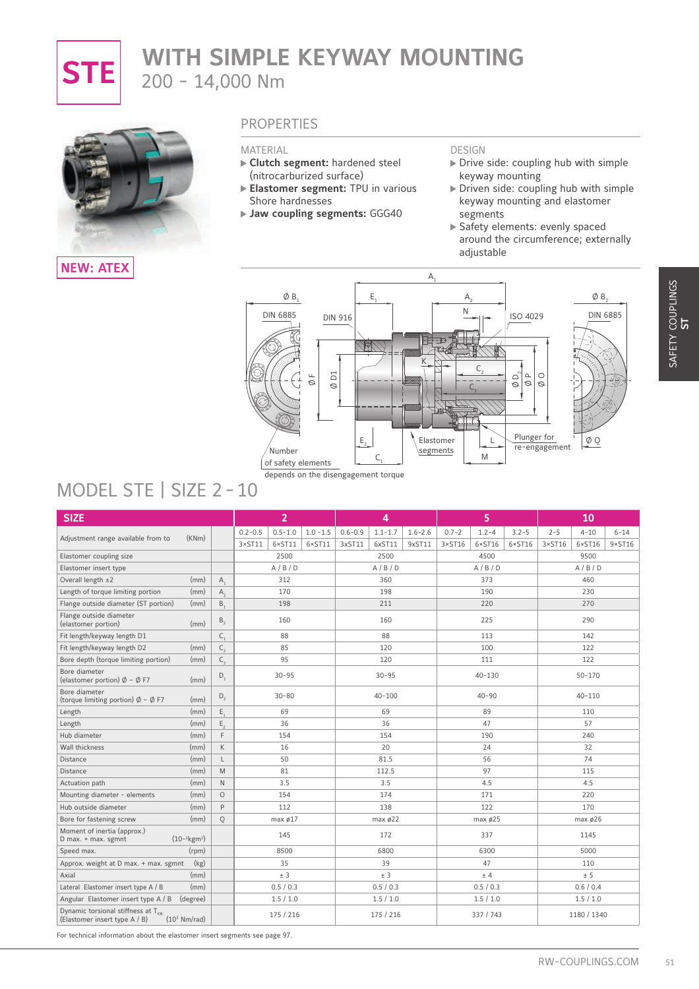

# **STE** WITH SIMPLE KEYWAY MOUNTING 200 - 14,000 Nm



### **NEW: ATEX**

### **PROPERTIES**

#### MATERIAL

- **Clutch segment:** hardened steel (nitrocarburized surface)
- **Elastomer segment:** TPU in various Shore hardnesses
- **Jaw coupling segments: GGG40**

#### DESIGN

- $\triangleright$  Drive side: coupling hub with simple keyway mounting
- Driven side: coupling hub with simple keyway mounting and elastomer segments
- Safety elements: evenly spaced around the circumference; externally adjustable



# MODEL STE | SIZE 2 - 10

| MODEL STE   SIZE 2 - 10                                                                |                        | ØB.<br><b>DIN 6885</b><br>$\overline{\text{D}}$<br>Щ<br>Ø<br>Ø<br>Number<br>of safety elements<br>depends on the disengagement torque | $E_{1}$<br><b>DIN 916</b><br>$E_{2}$<br>C. | $A_{2}$<br>Ν<br><b>ISO 4029</b><br>C<br>o,<br>$\mathbf{\Omega}$<br>Ø<br>$\varnothing$<br>Plunger for<br>Elastomer<br>L<br>segments<br>M | ØB.<br><b>DIN 6885</b><br>$\circ$<br>Ø<br>$\phi$ Q<br>re-engagement |
|----------------------------------------------------------------------------------------|------------------------|---------------------------------------------------------------------------------------------------------------------------------------|--------------------------------------------|-----------------------------------------------------------------------------------------------------------------------------------------|---------------------------------------------------------------------|
|                                                                                        |                        |                                                                                                                                       |                                            |                                                                                                                                         |                                                                     |
| <b>SIZE</b>                                                                            |                        | $\overline{2}$                                                                                                                        | 4                                          | 5                                                                                                                                       | 10                                                                  |
| Adjustment range available from to<br>(KNm)                                            |                        | $0.5 - 1.0$<br>$1.0 - 1.5$<br>$0.2 - 0.5$                                                                                             | $0.6 - 0.9$<br>$1.6 - 2.6$<br>$1.1 - 1.7$  | $0.7 - 2$<br>$1.2 - 4$<br>$3.2 - 5$                                                                                                     | $2 - 5$<br>$4 - 10$<br>$6 - 14$<br>$9 \times ST16$                  |
| Elastomer coupling size                                                                |                        | $3 \times 5$ T11<br>$6 \times ST11$<br>$6 \times ST11$<br>2500                                                                        | 3xST11<br>6xST11<br>9xST11<br>2500         | $6 \times$ ST16<br>$6 \times$ ST16<br>$3 \times ST16$<br>4500                                                                           | $6 \times$ ST16<br>$3 \times$ ST16<br>9500                          |
| Elastomer insert type                                                                  |                        | A/B/D                                                                                                                                 | A/B/D                                      | A/B/D                                                                                                                                   | A/B/D                                                               |
| Overall length ±2                                                                      | (mm)<br>$A_1$          | 312                                                                                                                                   | 360                                        | 373                                                                                                                                     | 460                                                                 |
| Length of torque limiting portion                                                      | $A_{2}$<br>(mm)        | 170                                                                                                                                   | 198                                        | 190                                                                                                                                     | 230                                                                 |
| Flange outside diameter (ST portion)                                                   | (mm)<br>$B_{1}$        | 198                                                                                                                                   | 211                                        | 220                                                                                                                                     | 270                                                                 |
| Flange outside diameter                                                                |                        |                                                                                                                                       |                                            |                                                                                                                                         |                                                                     |
| (elastomer portion)                                                                    | B <sub>2</sub><br>(mm) | 160                                                                                                                                   | 160                                        | 225                                                                                                                                     | 290                                                                 |
| Fit length/keyway length D1                                                            | $C_{1}$                | 88                                                                                                                                    | 88                                         | 113                                                                                                                                     | 142                                                                 |
| Fit length/keyway length D2                                                            | (mm)<br>$C_{2}$        | 85                                                                                                                                    | 120                                        | 100                                                                                                                                     | 122                                                                 |
| Bore depth (torque limiting portion)                                                   | (mm)<br>$C_{3}$        | 95                                                                                                                                    | 120                                        | 111                                                                                                                                     | 122                                                                 |
| Bore diameter<br>(elastomer portion) $\emptyset$ – $\emptyset$ F7                      | $D_1$<br>(mm)          | $30 - 95$                                                                                                                             | $30 - 95$                                  | 40-130                                                                                                                                  | $50 - 170$                                                          |
| Bore diameter<br>(torque limiting portion) $\emptyset$ - $\emptyset$ F7                | $D_2$<br>(mm)          | $30 - 80$                                                                                                                             | $40 - 100$                                 | $40 - 90$                                                                                                                               | $40 - 110$                                                          |
| Length                                                                                 | E,<br>(mm)             | 69                                                                                                                                    | 69                                         | 89                                                                                                                                      | 110                                                                 |
| Length                                                                                 | E,<br>(mm)             | 36                                                                                                                                    | 36                                         | 47                                                                                                                                      | 57                                                                  |
| Hub diameter                                                                           | $\mathsf F$<br>(mm)    | 154                                                                                                                                   | 154                                        | 190                                                                                                                                     | 240                                                                 |
| Wall thickness                                                                         | $\mathsf K$<br>(mm)    | 16                                                                                                                                    | 20                                         | 24                                                                                                                                      | 32                                                                  |
| Distance                                                                               | (mm)<br>L              | 50                                                                                                                                    | 81.5                                       | 56                                                                                                                                      | 74                                                                  |
| Distance                                                                               | M<br>(mm)              | 81                                                                                                                                    | 112.5                                      | 97                                                                                                                                      | 115                                                                 |
| Actuation path                                                                         | (mm)<br>$\mathsf N$    | 3.5                                                                                                                                   | 3.5                                        | 4.5                                                                                                                                     | 4.5                                                                 |
| Mounting diameter - elements                                                           | (mm)<br>$\circ$        | 154                                                                                                                                   | 174                                        | 171                                                                                                                                     | 220                                                                 |
| Hub outside diameter                                                                   | (mm)<br>P              | 112                                                                                                                                   | 138                                        | 122                                                                                                                                     | 170                                                                 |
| Bore for fastening screw                                                               | (mm)<br>Q              | max $\emptyset$ 17                                                                                                                    | max $\phi$ 22                              | max $\phi$ 25                                                                                                                           | max $\phi$ 26                                                       |
| Moment of inertia (approx.)<br>$(10^{-3} \text{kg} \text{m}^2)$<br>D max. + max. sgmnt |                        | 145                                                                                                                                   | 172                                        | 337                                                                                                                                     | 1145                                                                |
| Speed max.                                                                             | (rpm)                  | 8500                                                                                                                                  | 6800                                       | 6300                                                                                                                                    | 5000                                                                |
|                                                                                        | (kg)                   | 35                                                                                                                                    | 39                                         | 47                                                                                                                                      | 110                                                                 |
|                                                                                        | (mm)                   | $\pm$ 3                                                                                                                               | $\pm$ 3                                    | ± 4                                                                                                                                     | ± 5                                                                 |
|                                                                                        |                        |                                                                                                                                       |                                            |                                                                                                                                         |                                                                     |
| Approx. weight at D max. + max. sgmnt<br>Axial<br>Lateral Elastomer insert type A / B  | (mm)                   | 0.5 / 0.3                                                                                                                             | 0.5 / 0.3                                  | 0.5/0.3                                                                                                                                 | 0.6 / 0.4                                                           |
| Angular Elastomer insert type A / B (degree)                                           |                        | 1.5/1.0                                                                                                                               | 1.5/1.0                                    | 1.5/1.0                                                                                                                                 | 1.5/1.0                                                             |

**ST** EINBAUHINWEISE DIMENSIONIERUNG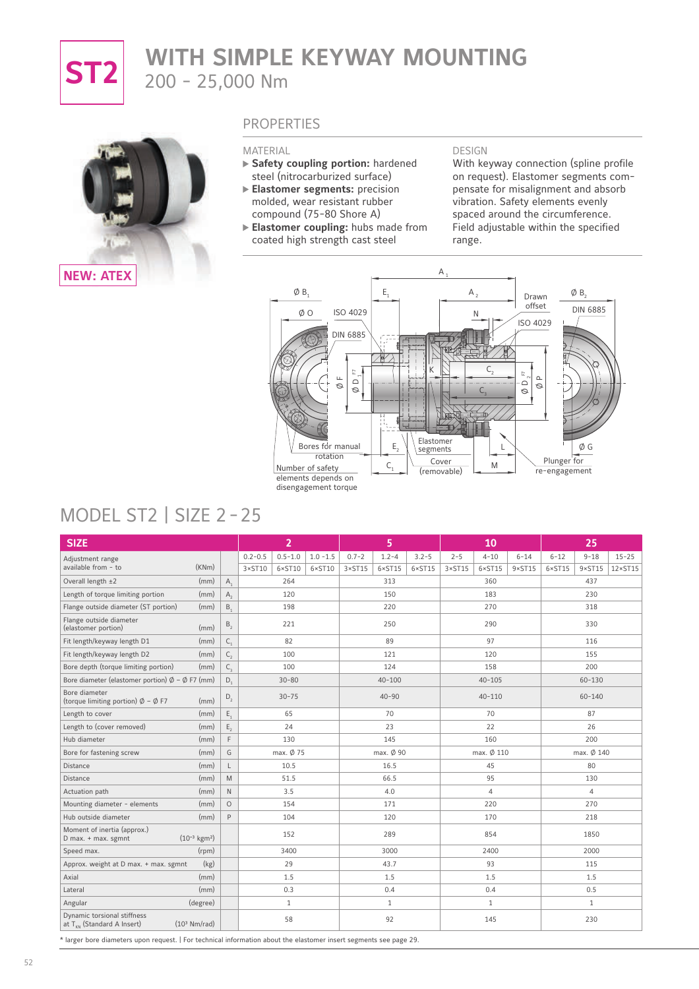

# **ST2** WITH SIMPLE KEYWAY MOUNTING 200 - 25,000 Nm



### **PROPERTIES**

#### MATERIAL

- **Safety coupling portion:** hardened steel (nitrocarburized surface)
- **Elastomer segments:** precision molded, wear resistant rubber compound (75-80 Shore A)
- **Elastomer coupling:** hubs made from coated high strength cast steel

#### DESIGN

With keyway connection (spline profile on request). Elastomer segments compensate for misalignment and absorb vibration. Safety elements evenly spaced around the circumference. Field adjustable within the specified range.



# MODEL ST2 | SIZE 2 - 25

| <b>SIZE</b>                                                             |                           |                |                 | $\overline{2}$  |                 |                 | 5               |                 |                 | 10              |                 |                 | 25              |                  |
|-------------------------------------------------------------------------|---------------------------|----------------|-----------------|-----------------|-----------------|-----------------|-----------------|-----------------|-----------------|-----------------|-----------------|-----------------|-----------------|------------------|
| Adjustment range                                                        |                           |                | $0.2 - 0.5$     | $0.5 - 1.0$     | $1.0 - 1.5$     | $0.7 - 2$       | $1.2 - 4$       | $3.2 - 5$       | $2 - 5$         | $4 - 10$        | $6 - 14$        | $6 - 12$        | $9 - 18$        | $15 - 25$        |
| available from - to                                                     | (KNm)                     |                | $3 \times ST10$ | $6 \times$ ST10 | $6 \times$ ST10 | $3 \times ST15$ | $6 \times$ ST15 | $6 \times ST15$ | $3 \times ST15$ | $6 \times ST15$ | $9 \times ST15$ | $6 \times ST15$ | $9 \times ST15$ | $12 \times ST15$ |
| Overall length ±2                                                       | (mm)                      | $A_1$          |                 | 264             |                 |                 | 313             |                 |                 | 360             |                 |                 | 437             |                  |
| Length of torque limiting portion                                       | (mm)                      | $A_{2}$        |                 | 120             |                 |                 | 150             |                 |                 | 183             |                 |                 | 230             |                  |
| Flange outside diameter (ST portion)                                    | (mm)                      | B <sub>1</sub> |                 | 198             |                 |                 | 220             |                 |                 | 270             |                 |                 | 318             |                  |
| Flange outside diameter<br>(elastomer portion)                          | (mm)                      | $B_{2}$        |                 | 221             |                 |                 | 250             |                 |                 | 290             |                 |                 | 330             |                  |
| Fit length/keyway length D1                                             | (mm)                      | $C_{1}$        |                 | 82              |                 |                 | 89              |                 |                 | 97              |                 |                 | 116             |                  |
| Fit length/keyway length D2                                             | (mm)                      | $C_{2}$        |                 | 100             |                 |                 | 121             |                 |                 | 120             |                 |                 | 155             |                  |
| Bore depth (torque limiting portion)                                    | (mm)                      | $C_{3}$        |                 | 100             |                 |                 | 124             |                 |                 | 158             |                 |                 | 200             |                  |
| Bore diameter (elastomer portion) $\emptyset$ - $\emptyset$ F7 (mm)     |                           | $D_1$          |                 | $30 - 80$       |                 |                 | $40 - 100$      |                 |                 | $40 - 105$      |                 |                 | $60 - 130$      |                  |
| Bore diameter<br>(torque limiting portion) $\emptyset$ - $\emptyset$ F7 | (mm)                      | $D_2$          |                 | $30 - 75$       |                 |                 | $40 - 90$       |                 |                 | $40 - 110$      |                 |                 | $60 - 140$      |                  |
| Length to cover                                                         | (mm)                      | $E_{1}$        |                 | 65              |                 |                 | 70              |                 |                 | 70              |                 |                 | 87              |                  |
| Length to (cover removed)                                               | (mm)                      | $E_{2}$        |                 | 24              |                 |                 | 23              |                 |                 | 22              |                 |                 | 26              |                  |
| Hub diameter                                                            | (mm)                      | F              |                 | 130             |                 |                 | 145             |                 |                 | 160             |                 |                 | 200             |                  |
| Bore for fastening screw                                                | (mm)                      | G              |                 | max. Ø 75       |                 |                 | max. Ø 90       |                 |                 | max. Ø 110      |                 |                 | max. Ø 140      |                  |
| <b>Distance</b>                                                         | (mm)                      | $\mathsf{L}$   |                 | 10.5            |                 |                 | 16.5            |                 |                 | 45              |                 |                 | 80              |                  |
| Distance                                                                | (mm)                      | M              |                 | 51.5            |                 |                 | 66.5            |                 |                 | 95              |                 |                 | 130             |                  |
| Actuation path                                                          | (mm)                      | $\mathsf{N}$   |                 | 3.5             |                 |                 | 4.0             |                 |                 | $\overline{4}$  |                 |                 | 4               |                  |
| Mounting diameter - elements                                            | (mm)                      | $\circ$        |                 | 154             |                 |                 | 171             |                 |                 | 220             |                 |                 | 270             |                  |
| Hub outside diameter                                                    | (mm)                      | $\mathsf{p}$   |                 | 104             |                 |                 | 120             |                 |                 | 170             |                 |                 | 218             |                  |
| Moment of inertia (approx.)<br>D max. + max. sgmnt                      | $(10^{-3} \text{ kgm}^2)$ |                |                 | 152             |                 |                 | 289             |                 |                 | 854             |                 |                 | 1850            |                  |
| Speed max.                                                              | (rpm)                     |                |                 | 3400            |                 |                 | 3000            |                 |                 | 2400            |                 |                 | 2000            |                  |
| Approx. weight at D max. + max. sgmnt                                   | (kg)                      |                |                 | 29              |                 |                 | 43.7            |                 |                 | 93              |                 |                 | 115             |                  |
| Axial                                                                   | (mm)                      |                |                 | 1.5             |                 |                 | 1.5             |                 |                 | 1.5             |                 |                 | 1.5             |                  |
| Lateral                                                                 | (mm)                      |                |                 | 0.3             |                 |                 | 0.4             |                 |                 | 0.4             |                 |                 | 0.5             |                  |
| Angular                                                                 | (degree)                  |                |                 | $\mathbf{1}$    |                 |                 | $\mathbf{1}$    |                 |                 | $\mathbf{1}$    |                 |                 | $\mathbf{1}$    |                  |
| Dynamic torsional stiffness<br>at $T_{\kappa N}$ (Standard A Insert)    | (10 <sup>3</sup> Nm/rad)  |                |                 | 58              |                 |                 | 92              |                 |                 | 145             |                 |                 | 230             |                  |

\* larger bore diameters upon request. | For technical information about the elastomer insert segments see page 29.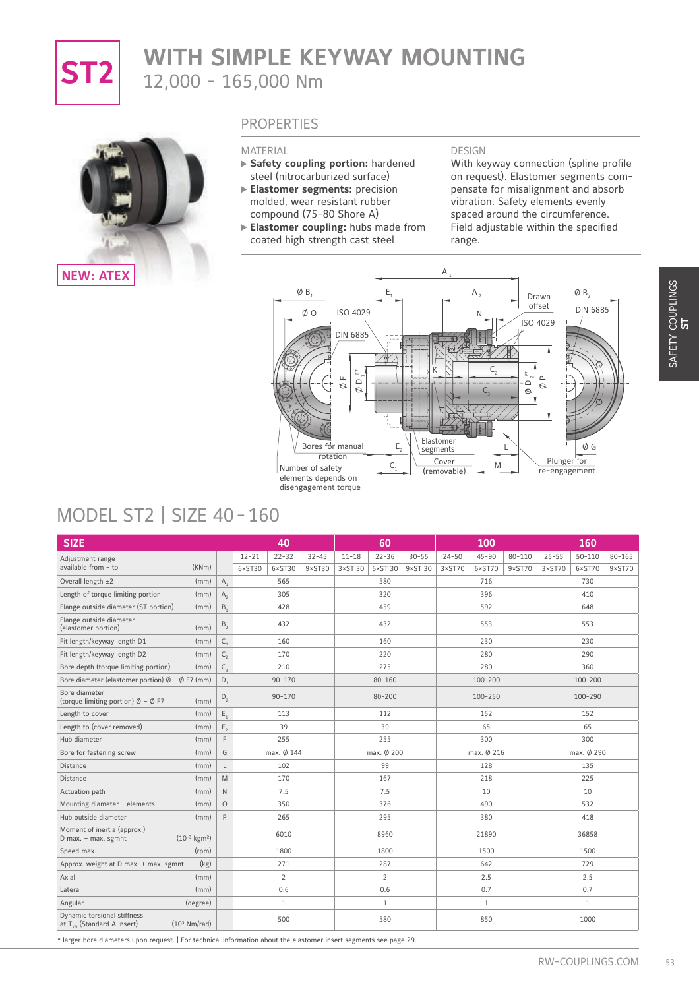

# **ST2** WITH SIMPLE KEYWAY MOUNTING 12,000 - 165,000 Nm



### **PROPERTIES**

MATERIAL

- **Safety coupling portion:** hardened steel (nitrocarburized surface)
- **Elastomer segments:** precision molded, wear resistant rubber compound (75-80 Shore A)
- **Elastomer coupling:** hubs made from coated high strength cast steel

#### DESIGN

With keyway connection (spline profile on request). Elastomer segments compensate for misalignment and absorb vibration. Safety elements evenly spaced around the circumference. Field adjustable within the specified range.



# MODEL ST2 | SIZE 40 - 160

| <b>MODEL ST2   SIZE 40-160</b>                                                                                                |                                                                                                            | ØB.<br>ØΟ<br>Bores for manual<br>rotation<br>Number of safety<br>elements depends on<br>disengagement torque | Е,<br>ISO 4029<br><b>DIN 6885</b><br>E<br>$\sqcup$<br>$\mathrel{\scriptstyle\bigtriangleup}$<br>$\circ$<br>Ø<br>$E_{2}$<br>$\mathsf{C}_1$ | A <sub>2</sub><br>N<br>С,<br>$E_{\gamma}$<br>$\mathrel{\scriptstyle\triangle}$<br>$\circ$<br>C,<br>Elastomer<br>L<br>segments<br>Cover<br>M<br>(removable) | $\emptyset$ B,<br>Drawn<br>offset<br><b>DIN 6885</b><br>ISO 4029<br>$\mathbf{\underline{\upalpha}}$<br>$\circ$<br>ØG<br>Plunger for<br>re-engagement |
|-------------------------------------------------------------------------------------------------------------------------------|------------------------------------------------------------------------------------------------------------|--------------------------------------------------------------------------------------------------------------|-------------------------------------------------------------------------------------------------------------------------------------------|------------------------------------------------------------------------------------------------------------------------------------------------------------|------------------------------------------------------------------------------------------------------------------------------------------------------|
| <b>SIZE</b>                                                                                                                   |                                                                                                            | 40                                                                                                           | 60                                                                                                                                        | 100                                                                                                                                                        | 160                                                                                                                                                  |
| Adjustment range                                                                                                              |                                                                                                            | $22 - 32$<br>$32 - 45$<br>$12 - 21$                                                                          | $22 - 36$<br>$30 - 55$<br>$11 - 18$                                                                                                       | $24 - 50$<br>$45 - 90$<br>$80 - 110$                                                                                                                       | $25 - 55$<br>$50 - 110$<br>$80 - 165$                                                                                                                |
| (KNm)<br>available from - to                                                                                                  |                                                                                                            | $6\times$ ST30<br>$6\times$ ST30<br>$9 \times ST30$                                                          | $6\times$ ST 30<br>$9 \times ST30$<br>$3 \times ST$ 30                                                                                    | $6\times$ ST70<br>$3 \times ST70$<br>9×ST70                                                                                                                | $6\times$ ST70<br>3×ST70<br>$9\times$ ST70                                                                                                           |
| Overall length ±2<br>(mm)                                                                                                     | $A_1$                                                                                                      | 565                                                                                                          | 580                                                                                                                                       | 716                                                                                                                                                        | 730                                                                                                                                                  |
| Length of torque limiting portion<br>(mm)                                                                                     | $A_{2}$                                                                                                    | 305                                                                                                          | 320                                                                                                                                       | 396                                                                                                                                                        | 410                                                                                                                                                  |
| Flange outside diameter (ST portion)<br>(mm)                                                                                  | $B_1$                                                                                                      | 428                                                                                                          | 459                                                                                                                                       | 592                                                                                                                                                        | 648                                                                                                                                                  |
| Flange outside diameter<br>(elastomer portion)<br>(mm)                                                                        | $\mathsf{B}_2$                                                                                             | 432                                                                                                          | 432                                                                                                                                       | 553                                                                                                                                                        | 553                                                                                                                                                  |
| Fit length/keyway length D1<br>(mm)                                                                                           | $C_{1}$                                                                                                    | 160                                                                                                          | 160                                                                                                                                       | 230                                                                                                                                                        | 230                                                                                                                                                  |
| Fit length/keyway length D2<br>(mm)                                                                                           | $\mathsf{C}_{_{\!2}}$                                                                                      | 170                                                                                                          | 220                                                                                                                                       | 280                                                                                                                                                        | 290                                                                                                                                                  |
| Bore depth (torque limiting portion)<br>(mm)                                                                                  | $C_{3}$                                                                                                    | 210                                                                                                          | 275                                                                                                                                       | 280                                                                                                                                                        | 360                                                                                                                                                  |
| Bore diameter (elastomer portion) $\emptyset$ – $\emptyset$ F7 (mm)                                                           | D,                                                                                                         | $90 - 170$                                                                                                   | $80 - 160$                                                                                                                                | 100-200                                                                                                                                                    | 100-200                                                                                                                                              |
| Bore diameter                                                                                                                 | $D_2$                                                                                                      | $90 - 170$                                                                                                   | $80 - 200$                                                                                                                                | 100-250                                                                                                                                                    | 100-290                                                                                                                                              |
| (torque limiting portion) $\emptyset$ - $\emptyset$ F7<br>(mm)                                                                |                                                                                                            | 113                                                                                                          |                                                                                                                                           | 152                                                                                                                                                        | 152                                                                                                                                                  |
| Length to cover<br>(mm)                                                                                                       | $E_{1}$                                                                                                    |                                                                                                              | 112                                                                                                                                       |                                                                                                                                                            |                                                                                                                                                      |
| (mm)                                                                                                                          | $E_{2}$                                                                                                    | 39                                                                                                           | 39                                                                                                                                        | 65                                                                                                                                                         | 65                                                                                                                                                   |
| Length to (cover removed)<br>Hub diameter<br>(mm)                                                                             | $\mathsf F$                                                                                                | 255                                                                                                          | 255                                                                                                                                       | 300                                                                                                                                                        | 300                                                                                                                                                  |
| (mm)                                                                                                                          | G                                                                                                          | max. Ø 144                                                                                                   | max. Ø 200                                                                                                                                | max. Ø 216                                                                                                                                                 | max. Ø 290                                                                                                                                           |
| (mm)                                                                                                                          | L                                                                                                          | 102                                                                                                          | 99                                                                                                                                        | 128                                                                                                                                                        | 135                                                                                                                                                  |
| (mm)                                                                                                                          | $\mathsf{M}% _{T}=\mathsf{M}_{T}\!\left( a,b\right) ,\ \mathsf{M}_{T}=\mathsf{M}_{T}\!\left( a,b\right) ,$ | 170                                                                                                          | 167                                                                                                                                       | 218                                                                                                                                                        | 225                                                                                                                                                  |
| (mm)                                                                                                                          | $\hbox{N}$                                                                                                 | 7.5                                                                                                          | 7.5                                                                                                                                       | 10                                                                                                                                                         | 10                                                                                                                                                   |
| Bore for fastening screw<br>Distance<br>Distance<br>Actuation path<br>(mm)<br>Mounting diameter - elements                    | $\circ$                                                                                                    | 350                                                                                                          | 376                                                                                                                                       | 490                                                                                                                                                        | 532                                                                                                                                                  |
| Hub outside diameter<br>(mm)<br>Moment of inertia (approx.)                                                                   | P                                                                                                          | 265<br>6010                                                                                                  | 295<br>8960                                                                                                                               | 380<br>21890                                                                                                                                               | 418<br>36858                                                                                                                                         |
| $(10^{-3} \text{ kgm}^2)$                                                                                                     |                                                                                                            |                                                                                                              |                                                                                                                                           |                                                                                                                                                            |                                                                                                                                                      |
| (rpm)                                                                                                                         |                                                                                                            | 1800                                                                                                         | 1800                                                                                                                                      | 1500                                                                                                                                                       | 1500                                                                                                                                                 |
| (kg)                                                                                                                          |                                                                                                            | 271                                                                                                          | 287                                                                                                                                       | 642                                                                                                                                                        | 729                                                                                                                                                  |
| (mm)                                                                                                                          |                                                                                                            | $\overline{2}$                                                                                               | $\overline{2}$                                                                                                                            | 2.5                                                                                                                                                        | 2.5                                                                                                                                                  |
| D max. + max. sgmnt<br>Speed max.<br>Approx. weight at D max. + max. sgmnt<br>Axial<br>(mm)<br>Lateral<br>(degree)<br>Angular |                                                                                                            | 0.6<br>$\mathbf{1}$                                                                                          | 0.6<br>$\mathbf{1}$                                                                                                                       | 0.7<br>$\mathbf{1}$                                                                                                                                        | 0.7<br>$\mathbf{1}$                                                                                                                                  |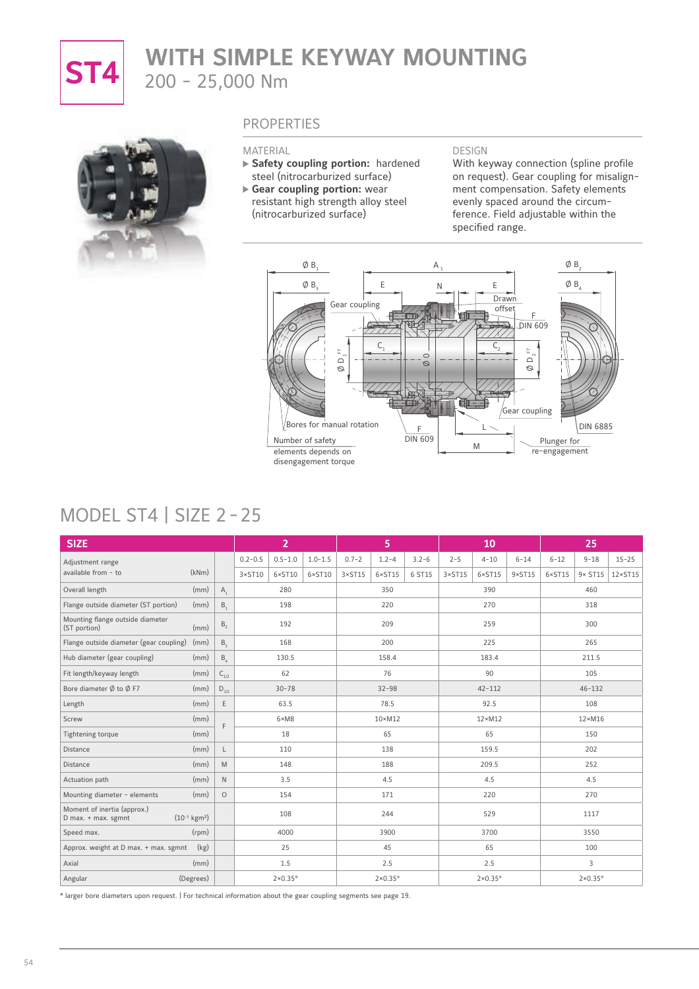

# **ST4** WITH SIMPLE KEYWAY MOUNTING 200 - 25,000 Nm



### **PROPERTIES**

#### MATERIAL

- **Safety coupling portion:** hardened steel (nitrocarburized surface)
- **Gear coupling portion:** wear resistant high strength alloy steel (nitrocarburized surface)

#### DESIGN

With keyway connection (spline profile on request). Gear coupling for misalignment compensation. Safety elements evenly spaced around the circumference. Field adjustable within the specified range.



### MODEL ST4 | SIZE 2 - 25

| E<br>$\frac{1}{2}$<br>$\circ$<br>$\mathrel{\triangle}$<br>$\mathop{\hbox{$\bigcirc$}}$<br>$\circ$<br>Ø<br>$\circ$<br>Gear coupling<br>Bores for manual rotation<br><b>DIN 6885</b><br>F<br><b>DIN 609</b><br>Number of safety<br>Plunger for<br>M<br>re-engagement<br>elements depends on<br>disengagement torque<br><b>MODEL ST4   SIZE 2-25</b> |                           |                       |                     |                     |                 |                 |                   |                 |                 |                     |                 |                 |                     |                  |
|---------------------------------------------------------------------------------------------------------------------------------------------------------------------------------------------------------------------------------------------------------------------------------------------------------------------------------------------------|---------------------------|-----------------------|---------------------|---------------------|-----------------|-----------------|-------------------|-----------------|-----------------|---------------------|-----------------|-----------------|---------------------|------------------|
| <b>SIZE</b>                                                                                                                                                                                                                                                                                                                                       |                           |                       |                     | $\overline{2}$      |                 |                 | 5                 |                 |                 | 10                  |                 |                 | 25                  |                  |
| Adjustment range                                                                                                                                                                                                                                                                                                                                  |                           |                       | $0.2 - 0.5$         | $0.5 - 1.0$         | $1.0 - 1.5$     | $0.7 - 2$       | $1.2 - 4$         | $3.2 - 6$       | $2 - 5$         | $4 - 10$            | $6 - 14$        | $6 - 12$        | $9 - 18$            | $15 - 25$        |
| available from - to                                                                                                                                                                                                                                                                                                                               | (kNm)                     |                       | $3 \times ST10$     | $6 \times ST10$     | $6 \times$ ST10 | $3 \times ST15$ | $6 \times ST15$   | 6 ST15          | $3 \times ST15$ | $6 \times$ ST15     | $9 \times ST15$ | $6 \times ST15$ | $9 \times ST15$     | $12 \times ST15$ |
| Overall length                                                                                                                                                                                                                                                                                                                                    | (mm)                      | $A_1$                 |                     | 280                 |                 |                 | 350               |                 |                 | 390                 |                 |                 | 460                 |                  |
| Flange outside diameter (ST portion)                                                                                                                                                                                                                                                                                                              | (mm)                      | B.,                   | 198                 |                     | 220             |                 |                   | 270             |                 |                     | 318             |                 |                     |                  |
| Mounting flange outside diameter<br>(ST portion)                                                                                                                                                                                                                                                                                                  | (mm)                      | $B_{2}$               |                     | 192                 |                 |                 | 209               |                 |                 | 259                 |                 |                 | 300                 |                  |
| Flange outside diameter (gear coupling)                                                                                                                                                                                                                                                                                                           | (mm)                      | B <sub>3</sub>        |                     | 168                 |                 |                 | 200               |                 |                 | 225                 |                 |                 | 265                 |                  |
| Hub diameter (gear coupling)                                                                                                                                                                                                                                                                                                                      | (mm)                      | $B_4$                 |                     | 130.5               |                 |                 | 158.4             |                 |                 | 183.4               |                 |                 | 211.5               |                  |
| Fit length/keyway length                                                                                                                                                                                                                                                                                                                          | (mm)                      | $C_{1/2}$             |                     | 62                  |                 |                 | 76                |                 |                 | 90                  |                 |                 | 105                 |                  |
| Bore diameter $\emptyset$ to $\emptyset$ F7                                                                                                                                                                                                                                                                                                       | (mm)                      | $\mathsf{D}_{_{1/2}}$ |                     | $30 - 78$           |                 |                 | $32 - 98$         |                 |                 | $42 - 112$          |                 |                 | $46 - 132$          |                  |
| Length                                                                                                                                                                                                                                                                                                                                            | (mm)                      | $\mathsf E$           |                     | 63.5                |                 |                 | 78.5              |                 |                 | 92.5                |                 |                 | 108                 |                  |
| Screw                                                                                                                                                                                                                                                                                                                                             | (mm)                      | F                     | $6 \times M8$<br>18 |                     | $10 \times M12$ |                 |                   | $12 \times M12$ |                 |                     | $12 \times M16$ |                 |                     |                  |
| Tightening torque                                                                                                                                                                                                                                                                                                                                 | (mm)                      |                       |                     |                     | 65              |                 |                   | 65              |                 |                     | 150             |                 |                     |                  |
| Distance                                                                                                                                                                                                                                                                                                                                          | (mm)                      | L                     |                     | 110                 |                 |                 | 138               |                 |                 | 159.5               |                 |                 | 202                 |                  |
| Distance                                                                                                                                                                                                                                                                                                                                          | (mm)                      | M                     |                     | 148                 |                 |                 | 188               |                 |                 | 209.5               |                 |                 | 252                 |                  |
| Actuation path                                                                                                                                                                                                                                                                                                                                    | (mm)                      | $\mathsf{N}$          | 3.5                 |                     |                 | 4.5             |                   |                 | 4.5             |                     |                 | 4.5             |                     |                  |
| Mounting diameter - elements                                                                                                                                                                                                                                                                                                                      | (mm)                      | $\circ$               | 154                 |                     | 171             |                 |                   | 220             |                 |                     | 270             |                 |                     |                  |
| Moment of inertia (approx.)<br>D max. + max. sgmnt                                                                                                                                                                                                                                                                                                | $(10^{-3} \text{ kgm}^2)$ |                       |                     | 108                 |                 |                 | 244               |                 |                 | 529                 |                 |                 | 1117                |                  |
| Speed max.                                                                                                                                                                                                                                                                                                                                        | (rpm)                     |                       |                     | 4000                |                 |                 | 3900              |                 |                 | 3700                |                 |                 | 3550                |                  |
| Approx. weight at D max. + max. sgmnt                                                                                                                                                                                                                                                                                                             | (kg)                      |                       |                     | 25                  |                 |                 | 45                |                 |                 | 65                  |                 |                 | 100                 |                  |
| Axial                                                                                                                                                                                                                                                                                                                                             | (mm)                      |                       |                     | 1.5                 |                 |                 | 2.5               |                 |                 | 2.5                 |                 |                 | 3                   |                  |
| Angular                                                                                                                                                                                                                                                                                                                                           | (Degrees)                 |                       |                     | $2\times0.35^\circ$ |                 |                 | $2 \times 0.35$ ° |                 |                 | $2\times0.35^\circ$ |                 |                 | $2\times0.35^\circ$ |                  |

\* larger bore diameters upon request. | For technical information about the gear coupling segments see page 19.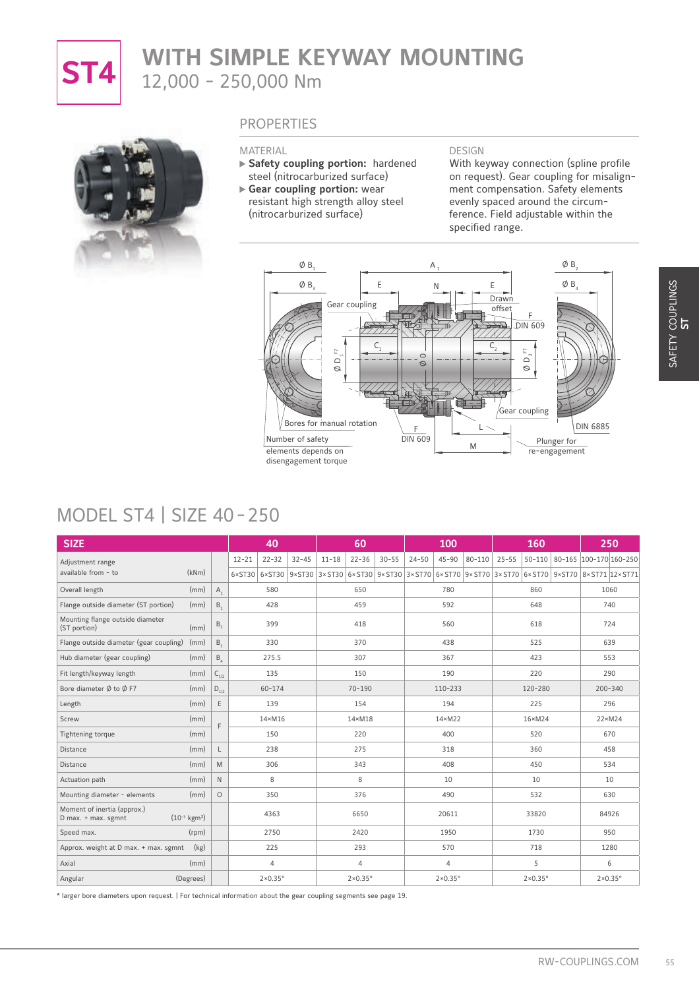

# **ST4** WITH SIMPLE KEYWAY MOUNTING 12,000 - 250,000 Nm



### **PROPERTIES**

#### MATERIAL

- **Safety coupling portion:** hardened steel (nitrocarburized surface)
- **Gear coupling portion:** wear resistant high strength alloy steel (nitrocarburized surface)

#### DESIGN

With keyway connection (spline profile on request). Gear coupling for misalignment compensation. Safety elements evenly spaced around the circumference. Field adjustable within the specified range.



### MODEL ST4 | SIZE 40 - 250

| <b>MODEL ST4   SIZE 40-250</b>                                                  |                                        | $\emptyset$ B <sub>3</sub><br>Number of safety<br>elements depends on<br>disengagement torque | Ε<br>Gear coupling<br>$C_{1}$<br>F<br>$\mathrel{\scriptstyle\triangle}$<br>Ø<br>Bores for manual rotation | Ν<br>恒田<br>$\circ$<br>Ø<br>F<br><b>DIN 609</b><br>M                                  | $\emptyset$ $\mathsf{B}_4$<br>Ε<br>Drawn<br>offset<br>DIN 609<br>$\frac{E}{2}$<br>$\mathrel{\triangle}$<br>Ø<br>Gear coupling<br>Plunger for<br>re-engagement | <b>DIN 6885</b>               |
|---------------------------------------------------------------------------------|----------------------------------------|-----------------------------------------------------------------------------------------------|-----------------------------------------------------------------------------------------------------------|--------------------------------------------------------------------------------------|---------------------------------------------------------------------------------------------------------------------------------------------------------------|-------------------------------|
| <b>SIZE</b>                                                                     |                                        | 40                                                                                            | 60                                                                                                        | 100                                                                                  | 160                                                                                                                                                           | 250                           |
| Adjustment range                                                                |                                        | $12 - 21$<br>$22 - 32$<br>$32 - 45$                                                           | $11 - 18$<br>$22 - 36$<br>$30 - 55$                                                                       | $24 - 50$<br>$45 - 90$<br>$80 - 110$                                                 | $25 - 55$                                                                                                                                                     | 50-110 80-165 100-170 160-250 |
| (kNm)<br>available from - to                                                    |                                        | $6 \times ST30$ $6 \times ST30$                                                               |                                                                                                           | 9×ST30 3×ST30 6×ST30 9×ST30 3×ST70 6×ST70 9×ST70 3×ST70 6×ST70 9×ST70 8×ST71 12×ST71 |                                                                                                                                                               |                               |
| Overall length<br>(mm)                                                          | $A_{1}$                                | 580                                                                                           | 650                                                                                                       | 780                                                                                  | 860                                                                                                                                                           | 1060                          |
| Flange outside diameter (ST portion)<br>(mm)                                    | B,                                     | 428                                                                                           | 459                                                                                                       | 592                                                                                  | 648                                                                                                                                                           | 740                           |
| Mounting flange outside diameter<br>(ST portion)<br>(mm)                        | $B_{2}$                                | 399                                                                                           | 418                                                                                                       | 560                                                                                  | 618                                                                                                                                                           | 724                           |
| Flange outside diameter (gear coupling)<br>(mm)                                 | $B_{3}$                                | 330                                                                                           | 370                                                                                                       | 438                                                                                  | 525                                                                                                                                                           | 639                           |
| Hub diameter (gear coupling)<br>(mm)                                            | $B_4$                                  | 275.5                                                                                         | 307                                                                                                       | 367                                                                                  | 423                                                                                                                                                           | 553                           |
| Fit length/keyway length<br>(mm)                                                | $\mathsf{C}_{\scriptscriptstyle{1/2}}$ | 135                                                                                           | 150                                                                                                       | 190                                                                                  | 220                                                                                                                                                           | 290                           |
| Bore diameter $\emptyset$ to $\emptyset$ F7<br>(mm)                             | $\mathsf{D}_{\scriptscriptstyle{1/2}}$ | $60 - 174$                                                                                    | $70 - 190$                                                                                                | 110-233                                                                              | 120-280                                                                                                                                                       | 200-340                       |
| (mm)<br>Length                                                                  | $\mathsf E$                            | 139                                                                                           | 154                                                                                                       | 194                                                                                  | 225                                                                                                                                                           | 296                           |
| (mm)<br>Screw                                                                   |                                        | $14 \times M16$                                                                               | $14 \times M18$                                                                                           | $14 \times M22$                                                                      | $16 \times M24$                                                                                                                                               | $22 \times M24$               |
| (mm)<br>Tightening torque                                                       | F                                      | 150                                                                                           | 220                                                                                                       | 400                                                                                  | 520                                                                                                                                                           | 670                           |
| (mm)<br>Distance                                                                | L                                      | 238                                                                                           | 275                                                                                                       | 318                                                                                  | 360                                                                                                                                                           | 458                           |
| (mm)<br>Distance                                                                | M                                      | 306                                                                                           | 343                                                                                                       | 408                                                                                  | 450                                                                                                                                                           | 534                           |
| (mm)<br>Actuation path                                                          | $\mathbb N$                            | 8                                                                                             | $\,8\,$                                                                                                   | 10                                                                                   | 10                                                                                                                                                            | 10                            |
| Mounting diameter - elements<br>(mm)                                            | $\circ$                                | 350                                                                                           | 376                                                                                                       | 490                                                                                  | 532                                                                                                                                                           | 630                           |
| Moment of inertia (approx.)<br>$(10^{-3} \text{ kgm}^2)$<br>D max. + max. sgmnt |                                        | 4363                                                                                          | 6650                                                                                                      | 20611                                                                                | 33820                                                                                                                                                         | 84926                         |
|                                                                                 |                                        | 2750                                                                                          | 2420                                                                                                      | 1950                                                                                 | 1730                                                                                                                                                          | 950                           |
| (rpm)                                                                           |                                        | 225                                                                                           | 293                                                                                                       | 570                                                                                  | 718                                                                                                                                                           | 1280                          |
| (kg)                                                                            |                                        |                                                                                               |                                                                                                           | 4                                                                                    | 5                                                                                                                                                             | 6                             |
| Speed max.<br>Approx. weight at D max. + max. sgmnt<br>(mm)<br>Axial            |                                        | $\overline{4}$                                                                                | $\overline{4}$                                                                                            |                                                                                      |                                                                                                                                                               |                               |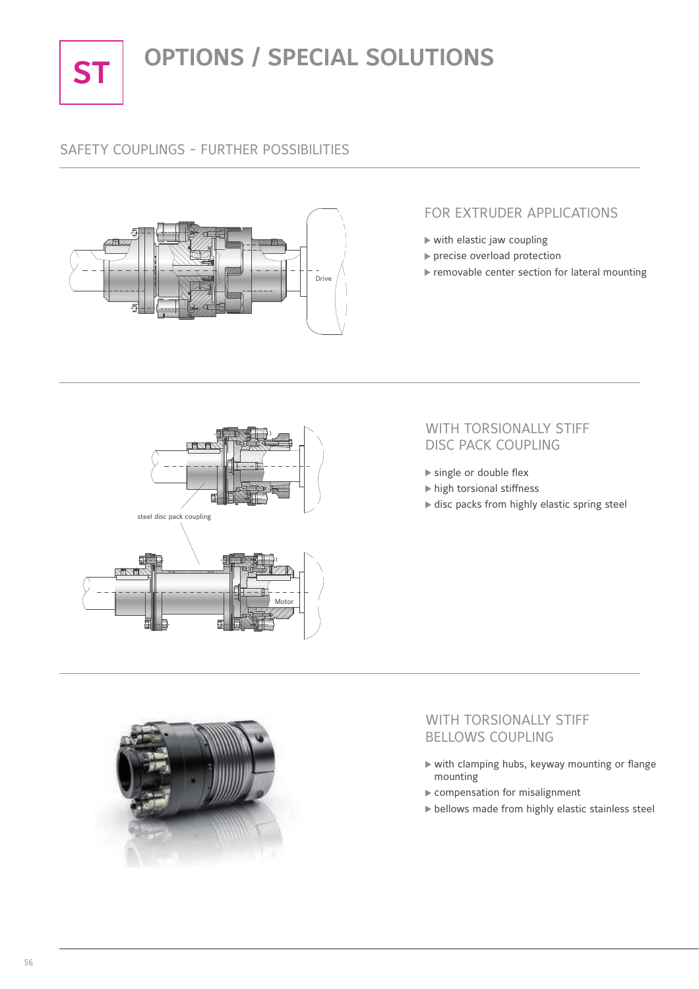

# **ST OPTIONS / SPECIAL SOLUTIONS**

### SAFETY COUPLINGS - FURTHER POSSIBILITIES



### FOR EXTRUDER APPLICATIONS

- $\triangleright$  with elastic jaw coupling
- precise overload protection
- $\blacktriangleright$  removable center section for lateral mounting



### WITH TORSIONALLY STIFF DISC PACK COUPLING

- single or double flex
- $\blacktriangleright$  high torsional stiffness
- $\blacktriangleright$  disc packs from highly elastic spring steel



### WITH TORSIONALLY STIFF BELLOWS COUPLING

- $\triangleright$  with clamping hubs, keyway mounting or flange mounting
- compensation for misalignment
- bellows made from highly elastic stainless steel